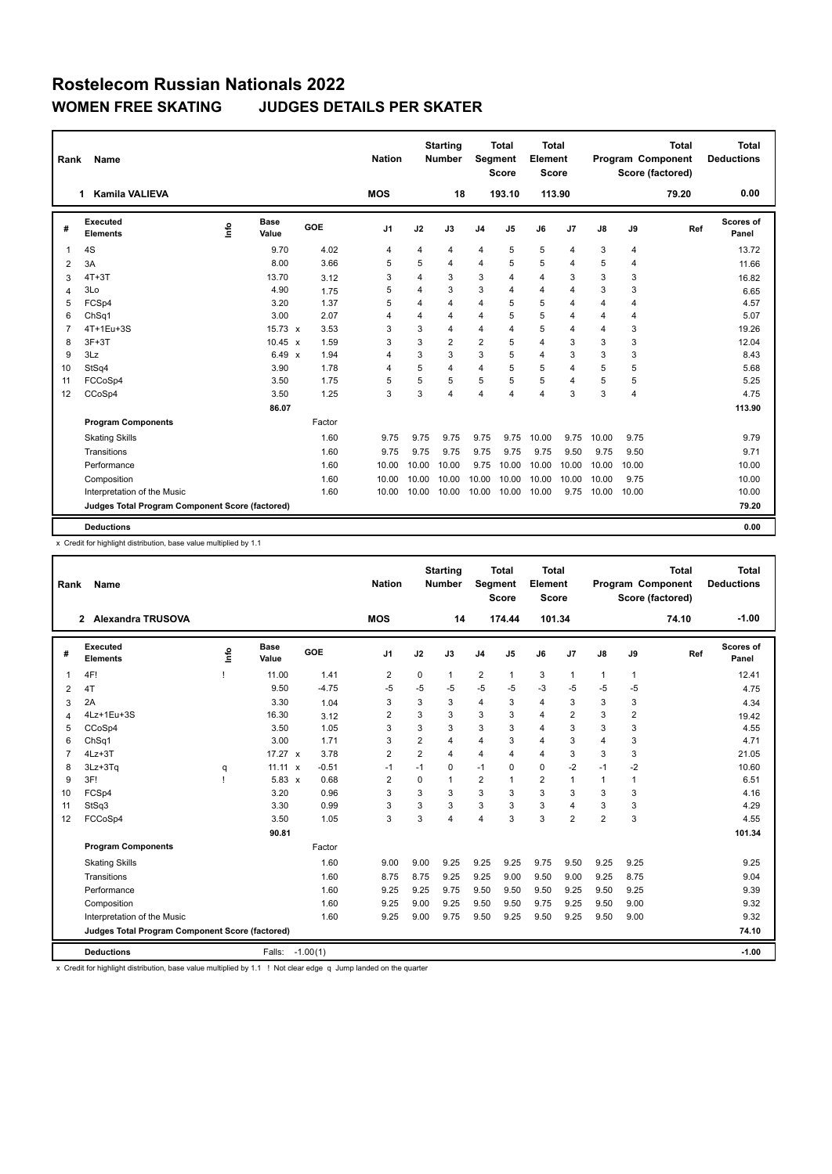| Rank           | <b>Name</b><br><b>Kamila VALIEVA</b><br>1       |      |                |        | <b>Nation</b>  |       | <b>Starting</b><br><b>Number</b> |                | <b>Total</b><br>Segment<br><b>Score</b> | <b>Total</b><br>Element<br><b>Score</b> |                |                |                | <b>Total</b><br>Program Component<br>Score (factored) | Total<br><b>Deductions</b> |
|----------------|-------------------------------------------------|------|----------------|--------|----------------|-------|----------------------------------|----------------|-----------------------------------------|-----------------------------------------|----------------|----------------|----------------|-------------------------------------------------------|----------------------------|
|                |                                                 |      |                |        | <b>MOS</b>     |       | 18                               |                | 193.10                                  | 113.90                                  |                |                |                | 79.20                                                 | 0.00                       |
| #              | Executed<br><b>Elements</b>                     | Info | Base<br>Value  | GOE    | J <sub>1</sub> | J2    | J3                               | J <sub>4</sub> | J5                                      | J6                                      | J <sub>7</sub> | J8             | J9             | Ref                                                   | Scores of<br>Panel         |
| 1              | 4S                                              |      | 9.70           | 4.02   | $\overline{4}$ | 4     | 4                                | $\overline{4}$ | 5                                       | 5                                       | $\overline{4}$ | 3              | 4              |                                                       | 13.72                      |
| 2              | 3A                                              |      | 8.00           | 3.66   | 5              | 5     | 4                                | $\overline{4}$ | 5                                       | 5                                       | 4              | 5              | 4              |                                                       | 11.66                      |
| 3              | $4T+3T$                                         |      | 13.70          | 3.12   | 3              | 4     | 3                                | 3              | $\overline{4}$                          | 4                                       | 3              | 3              | 3              |                                                       | 16.82                      |
| 4              | 3Lo                                             |      | 4.90           | 1.75   | 5              | 4     | 3                                | 3              | $\overline{4}$                          | 4                                       | $\overline{4}$ | 3              | 3              |                                                       | 6.65                       |
| 5              | FCSp4                                           |      | 3.20           | 1.37   | 5              | 4     | 4                                | 4              | 5                                       | 5                                       | $\overline{4}$ | $\overline{4}$ | $\overline{4}$ |                                                       | 4.57                       |
| 6              | Ch <sub>Sq1</sub>                               |      | 3.00           | 2.07   | $\overline{4}$ | 4     | 4                                | $\overline{4}$ | 5                                       | 5                                       | $\overline{4}$ | 4              | 4              |                                                       | 5.07                       |
| $\overline{7}$ | 4T+1Eu+3S                                       |      | $15.73 \times$ | 3.53   | 3              | 3     | 4                                | 4              | $\Delta$                                | 5                                       | $\overline{4}$ | $\overline{4}$ | 3              |                                                       | 19.26                      |
| 8              | $3F+3T$                                         |      | $10.45 \times$ | 1.59   | 3              | 3     | $\overline{2}$                   | $\overline{2}$ | 5                                       | 4                                       | 3              | 3              | 3              |                                                       | 12.04                      |
| 9              | 3Lz                                             |      | 6.49 x         | 1.94   | $\overline{4}$ | 3     | 3                                | 3              | 5                                       | 4                                       | 3              | 3              | 3              |                                                       | 8.43                       |
| 10             | StSq4                                           |      | 3.90           | 1.78   | $\overline{4}$ | 5     | 4                                | $\overline{4}$ | 5                                       | 5                                       | $\overline{4}$ | 5              | 5              |                                                       | 5.68                       |
| 11             | FCCoSp4                                         |      | 3.50           | 1.75   | 5              | 5     | 5                                | 5              | 5                                       | 5                                       | $\overline{4}$ | 5              | 5              |                                                       | 5.25                       |
| 12             | CCoSp4                                          |      | 3.50           | 1.25   | 3              | 3     | 4                                | 4              | $\Delta$                                | $\overline{\mathbf{A}}$                 | 3              | 3              | $\overline{4}$ |                                                       | 4.75                       |
|                |                                                 |      | 86.07          |        |                |       |                                  |                |                                         |                                         |                |                |                |                                                       | 113.90                     |
|                | <b>Program Components</b>                       |      |                | Factor |                |       |                                  |                |                                         |                                         |                |                |                |                                                       |                            |
|                | <b>Skating Skills</b>                           |      |                | 1.60   | 9.75           | 9.75  | 9.75                             | 9.75           | 9.75                                    | 10.00                                   | 9.75           | 10.00          | 9.75           |                                                       | 9.79                       |
|                | Transitions                                     |      |                | 1.60   | 9.75           | 9.75  | 9.75                             | 9.75           | 9.75                                    | 9.75                                    | 9.50           | 9.75           | 9.50           |                                                       | 9.71                       |
|                | Performance                                     |      |                | 1.60   | 10.00          | 10.00 | 10.00                            | 9.75           | 10.00                                   | 10.00                                   | 10.00          | 10.00          | 10.00          |                                                       | 10.00                      |
|                | Composition                                     |      |                | 1.60   | 10.00          | 10.00 | 10.00                            | 10.00          | 10.00                                   | 10.00                                   | 10.00          | 10.00          | 9.75           |                                                       | 10.00                      |
|                | Interpretation of the Music                     |      |                | 1.60   | 10.00          | 10.00 | 10.00                            | 10.00          | 10.00                                   | 10.00                                   | 9.75           | 10.00          | 10.00          |                                                       | 10.00                      |
|                | Judges Total Program Component Score (factored) |      |                |        |                |       |                                  |                |                                         |                                         |                |                |                |                                                       | 79.20                      |
|                | <b>Deductions</b>                               |      |                |        |                |       |                                  |                |                                         |                                         |                |                |                |                                                       | 0.00                       |

x Credit for highlight distribution, base value multiplied by 1.1

| Rank           | Name                                            |    |                      |            | <b>Nation</b>  |                | <b>Starting</b><br><b>Number</b> | Segment        | <b>Total</b><br><b>Score</b> | <b>Total</b><br>Element<br>Score |                |                |                | <b>Total</b><br>Program Component<br>Score (factored) | <b>Total</b><br><b>Deductions</b> |
|----------------|-------------------------------------------------|----|----------------------|------------|----------------|----------------|----------------------------------|----------------|------------------------------|----------------------------------|----------------|----------------|----------------|-------------------------------------------------------|-----------------------------------|
|                | $\mathbf{2}$<br>Alexandra TRUSOVA               |    |                      |            | <b>MOS</b>     |                | 14                               |                | 174.44                       | 101.34                           |                |                |                | 74.10                                                 | $-1.00$                           |
| #              | <b>Executed</b><br><b>Elements</b>              | ١m | <b>Base</b><br>Value | <b>GOE</b> | J <sub>1</sub> | J2             | J3                               | J <sub>4</sub> | J5                           | J6                               | J <sub>7</sub> | $\mathsf{J}8$  | J9             | Ref                                                   | Scores of<br>Panel                |
| 1              | 4F!                                             |    | 11.00                | 1.41       | 2              | 0              | 1                                | $\overline{2}$ | $\mathbf{1}$                 | 3                                | $\overline{1}$ | 1              | $\mathbf{1}$   |                                                       | 12.41                             |
| 2              | 4T                                              |    | 9.50                 | $-4.75$    | -5             | -5             | -5                               | $-5$           | $-5$                         | $-3$                             | -5             | -5             | $-5$           |                                                       | 4.75                              |
| 3              | 2A                                              |    | 3.30                 | 1.04       | 3              | 3              | 3                                | $\overline{4}$ | 3                            | 4                                | 3              | 3              | 3              |                                                       | 4.34                              |
| 4              | 4Lz+1Eu+3S                                      |    | 16.30                | 3.12       | $\overline{2}$ | 3              | 3                                | 3              | 3                            | 4                                | $\overline{2}$ | 3              | $\overline{2}$ |                                                       | 19.42                             |
| 5              | CCoSp4                                          |    | 3.50                 | 1.05       | 3              | 3              | 3                                | 3              | 3                            | 4                                | 3              | 3              | 3              |                                                       | 4.55                              |
| 6              | ChSq1                                           |    | 3.00                 | 1.71       | 3              | $\overline{2}$ | 4                                | 4              | 3                            | 4                                | 3              | 4              | 3              |                                                       | 4.71                              |
| $\overline{7}$ | $4Lz + 3T$                                      |    | $17.27 \times$       | 3.78       | $\overline{2}$ | $\overline{2}$ | 4                                | $\overline{4}$ | $\overline{\mathbf{A}}$      | 4                                | 3              | 3              | 3              |                                                       | 21.05                             |
| 8              | $3Lz + 3Tq$                                     | q  | 11.11 $x$            | $-0.51$    | $-1$           | $-1$           | 0                                | $-1$           | $\mathbf 0$                  | 0                                | $-2$           | $-1$           | $-2$           |                                                       | 10.60                             |
| 9              | 3F!                                             | J. | $5.83 \times$        | 0.68       | $\overline{2}$ | $\Omega$       | 1                                | $\overline{2}$ | 1                            | $\overline{2}$                   | $\overline{1}$ | $\mathbf{1}$   | 1              |                                                       | 6.51                              |
| 10             | FCSp4                                           |    | 3.20                 | 0.96       | 3              | 3              | 3                                | 3              | 3                            | 3                                | 3              | 3              | 3              |                                                       | 4.16                              |
| 11             | StSq3                                           |    | 3.30                 | 0.99       | 3              | 3              | 3                                | 3              | 3                            | 3                                | $\overline{4}$ | 3              | 3              |                                                       | 4.29                              |
| 12             | FCCoSp4                                         |    | 3.50                 | 1.05       | 3              | 3              | 4                                | 4              | 3                            | 3                                | $\overline{2}$ | $\overline{2}$ | 3              |                                                       | 4.55                              |
|                |                                                 |    | 90.81                |            |                |                |                                  |                |                              |                                  |                |                |                |                                                       | 101.34                            |
|                | <b>Program Components</b>                       |    |                      | Factor     |                |                |                                  |                |                              |                                  |                |                |                |                                                       |                                   |
|                | <b>Skating Skills</b>                           |    |                      | 1.60       | 9.00           | 9.00           | 9.25                             | 9.25           | 9.25                         | 9.75                             | 9.50           | 9.25           | 9.25           |                                                       | 9.25                              |
|                | Transitions                                     |    |                      | 1.60       | 8.75           | 8.75           | 9.25                             | 9.25           | 9.00                         | 9.50                             | 9.00           | 9.25           | 8.75           |                                                       | 9.04                              |
|                | Performance                                     |    |                      | 1.60       | 9.25           | 9.25           | 9.75                             | 9.50           | 9.50                         | 9.50                             | 9.25           | 9.50           | 9.25           |                                                       | 9.39                              |
|                | Composition                                     |    |                      | 1.60       | 9.25           | 9.00           | 9.25                             | 9.50           | 9.50                         | 9.75                             | 9.25           | 9.50           | 9.00           |                                                       | 9.32                              |
|                | Interpretation of the Music                     |    |                      | 1.60       | 9.25           | 9.00           | 9.75                             | 9.50           | 9.25                         | 9.50                             | 9.25           | 9.50           | 9.00           |                                                       | 9.32                              |
|                | Judges Total Program Component Score (factored) |    |                      |            |                |                |                                  |                |                              |                                  |                |                |                |                                                       | 74.10                             |
|                | <b>Deductions</b>                               |    | Falls:               | $-1.00(1)$ |                |                |                                  |                |                              |                                  |                |                |                |                                                       | $-1.00$                           |

x Credit for highlight distribution, base value multiplied by 1.1 ! Not clear edge q Jump landed on the quarter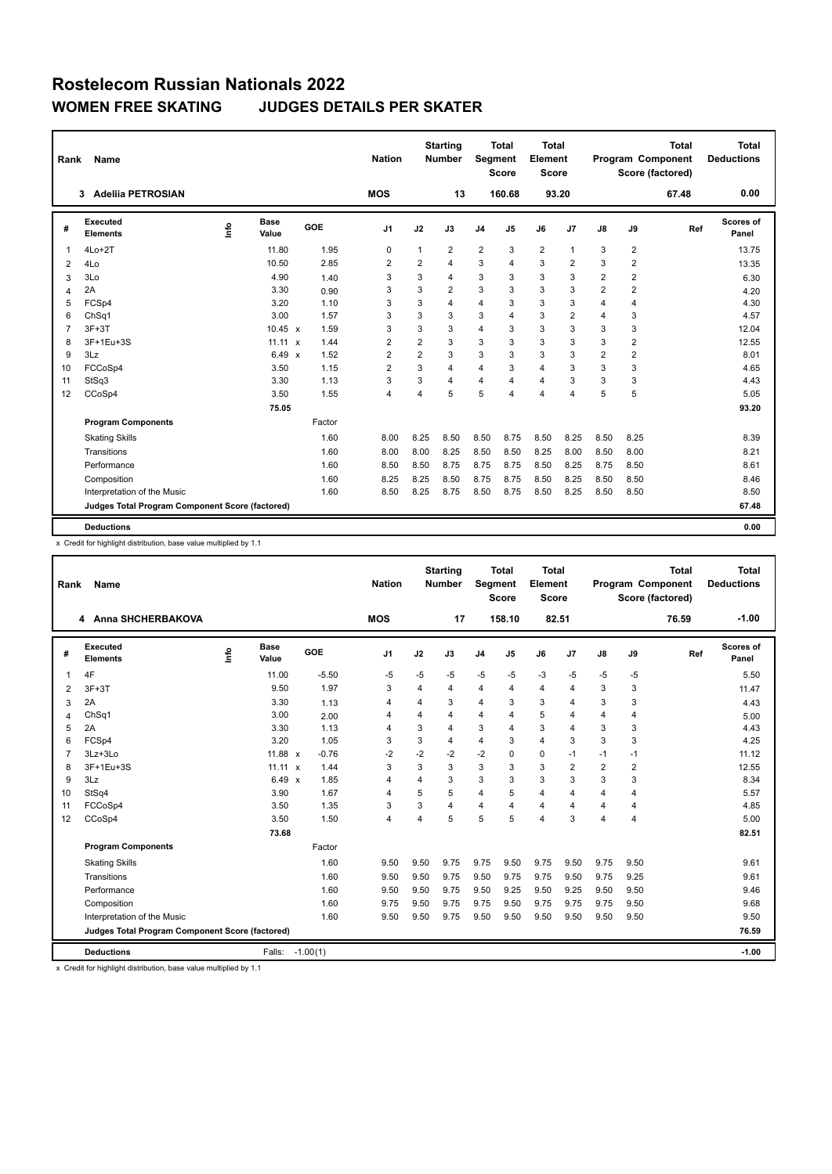| Rank           | Name                                            |             |                      |        | <b>Nation</b>  |                | <b>Starting</b><br><b>Number</b> | Segment        | Total<br><b>Score</b> | Total<br>Element<br><b>Score</b> |                |                |                | <b>Total</b><br>Program Component<br>Score (factored) | Total<br><b>Deductions</b> |
|----------------|-------------------------------------------------|-------------|----------------------|--------|----------------|----------------|----------------------------------|----------------|-----------------------|----------------------------------|----------------|----------------|----------------|-------------------------------------------------------|----------------------------|
|                | <b>Adeliia PETROSIAN</b><br>3                   |             |                      |        | <b>MOS</b>     |                | 13                               |                | 160.68                | 93.20                            |                |                |                | 67.48                                                 | 0.00                       |
| #              | Executed<br><b>Elements</b>                     | <u>info</u> | <b>Base</b><br>Value | GOE    | J1             | J2             | J3                               | J <sub>4</sub> | J5                    | J6                               | J7             | J8             | J9             | Ref                                                   | Scores of<br>Panel         |
| 1              | $4Lo+2T$                                        |             | 11.80                | 1.95   | 0              | 1              | $\overline{2}$                   | $\overline{2}$ | 3                     | $\overline{2}$                   | $\mathbf{1}$   | 3              | $\overline{2}$ |                                                       | 13.75                      |
| 2              | 4Lo                                             |             | 10.50                | 2.85   | 2              | 2              | 4                                | 3              | 4                     | 3                                | $\overline{2}$ | 3              | 2              |                                                       | 13.35                      |
| 3              | 3Lo                                             |             | 4.90                 | 1.40   | 3              | 3              | 4                                | 3              | 3                     | 3                                | 3              | 2              | 2              |                                                       | 6.30                       |
| 4              | 2A                                              |             | 3.30                 | 0.90   | 3              | 3              | $\overline{2}$                   | 3              | 3                     | 3                                | 3              | $\overline{2}$ | $\overline{2}$ |                                                       | 4.20                       |
| 5              | FCSp4                                           |             | 3.20                 | 1.10   | 3              | 3              | 4                                | $\overline{4}$ | 3                     | 3                                | 3              | 4              | 4              |                                                       | 4.30                       |
| 6              | Ch <sub>Sq1</sub>                               |             | 3.00                 | 1.57   | 3              | 3              | 3                                | 3              | 4                     | 3                                | $\overline{2}$ | 4              | 3              |                                                       | 4.57                       |
| $\overline{7}$ | $3F+3T$                                         |             | $10.45 \times$       | 1.59   | 3              | 3              | 3                                | $\overline{4}$ | 3                     | 3                                | 3              | 3              | 3              |                                                       | 12.04                      |
| 8              | 3F+1Eu+3S                                       |             | $11.11 \times$       | 1.44   | 2              | 2              | 3                                | 3              | 3                     | 3                                | 3              | 3              | 2              |                                                       | 12.55                      |
| 9              | 3Lz                                             |             | 6.49 $\times$        | 1.52   | $\overline{2}$ | $\overline{2}$ | 3                                | 3              | 3                     | 3                                | 3              | $\overline{2}$ | $\overline{2}$ |                                                       | 8.01                       |
| 10             | FCCoSp4                                         |             | 3.50                 | 1.15   | $\overline{2}$ | 3              | 4                                | $\overline{4}$ | 3                     | $\overline{4}$                   | 3              | 3              | 3              |                                                       | 4.65                       |
| 11             | StSq3                                           |             | 3.30                 | 1.13   | 3              | 3              | 4                                | $\overline{4}$ | 4                     | 4                                | 3              | 3              | 3              |                                                       | 4.43                       |
| 12             | CCoSp4                                          |             | 3.50                 | 1.55   | $\overline{4}$ | $\overline{4}$ | 5                                | 5              | 4                     | 4                                | $\overline{4}$ | 5              | 5              |                                                       | 5.05                       |
|                |                                                 |             | 75.05                |        |                |                |                                  |                |                       |                                  |                |                |                |                                                       | 93.20                      |
|                | <b>Program Components</b>                       |             |                      | Factor |                |                |                                  |                |                       |                                  |                |                |                |                                                       |                            |
|                | <b>Skating Skills</b>                           |             |                      | 1.60   | 8.00           | 8.25           | 8.50                             | 8.50           | 8.75                  | 8.50                             | 8.25           | 8.50           | 8.25           |                                                       | 8.39                       |
|                | Transitions                                     |             |                      | 1.60   | 8.00           | 8.00           | 8.25                             | 8.50           | 8.50                  | 8.25                             | 8.00           | 8.50           | 8.00           |                                                       | 8.21                       |
|                | Performance                                     |             |                      | 1.60   | 8.50           | 8.50           | 8.75                             | 8.75           | 8.75                  | 8.50                             | 8.25           | 8.75           | 8.50           |                                                       | 8.61                       |
|                | Composition                                     |             |                      | 1.60   | 8.25           | 8.25           | 8.50                             | 8.75           | 8.75                  | 8.50                             | 8.25           | 8.50           | 8.50           |                                                       | 8.46                       |
|                | Interpretation of the Music                     |             |                      | 1.60   | 8.50           | 8.25           | 8.75                             | 8.50           | 8.75                  | 8.50                             | 8.25           | 8.50           | 8.50           |                                                       | 8.50                       |
|                | Judges Total Program Component Score (factored) |             |                      |        |                |                |                                  |                |                       |                                  |                |                |                |                                                       | 67.48                      |
|                |                                                 |             |                      |        |                |                |                                  |                |                       |                                  |                |                |                |                                                       |                            |
|                | <b>Deductions</b>                               |             |                      |        |                |                |                                  |                |                       |                                  |                |                |                |                                                       | 0.00                       |

x Credit for highlight distribution, base value multiplied by 1.1

| Rank           | Name                                            |      |                      |            | <b>Nation</b>           |                | <b>Starting</b><br><b>Number</b> | Segment        | <b>Total</b><br><b>Score</b> | <b>Total</b><br>Element<br><b>Score</b> |                |                         |                | <b>Total</b><br>Program Component<br>Score (factored) | <b>Total</b><br><b>Deductions</b> |
|----------------|-------------------------------------------------|------|----------------------|------------|-------------------------|----------------|----------------------------------|----------------|------------------------------|-----------------------------------------|----------------|-------------------------|----------------|-------------------------------------------------------|-----------------------------------|
|                | 4 Anna SHCHERBAKOVA                             |      |                      |            | <b>MOS</b>              |                | 17                               |                | 158.10                       | 82.51                                   |                |                         |                | 76.59                                                 | $-1.00$                           |
| #              | Executed<br><b>Elements</b>                     | lnfo | <b>Base</b><br>Value | GOE        | J <sub>1</sub>          | J2             | J3                               | J <sub>4</sub> | J <sub>5</sub>               | J6                                      | J7             | J8                      | J9             | Ref                                                   | Scores of<br>Panel                |
| 1              | 4F                                              |      | 11.00                | $-5.50$    | $-5$                    | $-5$           | -5                               | -5             | $-5$                         | $-3$                                    | $-5$           | $-5$                    | -5             |                                                       | 5.50                              |
| 2              | $3F+3T$                                         |      | 9.50                 | 1.97       | 3                       | $\overline{4}$ | 4                                | $\overline{4}$ | $\overline{4}$               | 4                                       | $\overline{4}$ | 3                       | 3              |                                                       | 11.47                             |
| 3              | 2A                                              |      | 3.30                 | 1.13       | $\overline{4}$          | $\overline{4}$ | 3                                | $\overline{4}$ | 3                            | 3                                       | $\overline{4}$ | 3                       | 3              |                                                       | 4.43                              |
| $\overline{4}$ | ChSq1                                           |      | 3.00                 | 2.00       | $\overline{4}$          | $\overline{4}$ | 4                                | $\overline{4}$ | 4                            | 5                                       | $\overline{4}$ | $\overline{4}$          | $\overline{4}$ |                                                       | 5.00                              |
| 5              | 2A                                              |      | 3.30                 | 1.13       | $\overline{4}$          | 3              | 4                                | 3              | $\Delta$                     | 3                                       | $\overline{4}$ | 3                       | 3              |                                                       | 4.43                              |
| 6              | FCSp4                                           |      | 3.20                 | 1.05       | 3                       | 3              | 4                                | $\overline{4}$ | 3                            | 4                                       | 3              | 3                       | 3              |                                                       | 4.25                              |
| $\overline{7}$ | 3Lz+3Lo                                         |      | 11.88 x              | $-0.76$    | -2                      | $-2$           | $-2$                             | $-2$           | $\Omega$                     | 0                                       | $-1$           | $-1$                    | $-1$           |                                                       | 11.12                             |
| 8              | 3F+1Eu+3S                                       |      | $11.11 \times$       | 1.44       | 3                       | 3              | 3                                | 3              | 3                            | 3                                       | $\overline{2}$ | $\overline{2}$          | $\overline{2}$ |                                                       | 12.55                             |
| 9              | 3Lz                                             |      | $6.49 \times$        | 1.85       | $\overline{4}$          | 4              | 3                                | 3              | 3                            | 3                                       | 3              | 3                       | 3              |                                                       | 8.34                              |
| 10             | StSq4                                           |      | 3.90                 | 1.67       | $\overline{\mathbf{A}}$ | 5              | 5                                | $\overline{4}$ | 5                            | 4                                       | $\overline{4}$ | $\overline{\mathbf{A}}$ | $\overline{4}$ |                                                       | 5.57                              |
| 11             | FCCoSp4                                         |      | 3.50                 | 1.35       | 3                       | 3              | 4                                | 4              | Δ                            | 4                                       | $\overline{4}$ | 4                       | $\overline{4}$ |                                                       | 4.85                              |
| 12             | CCoSp4                                          |      | 3.50                 | 1.50       | $\overline{4}$          | $\overline{4}$ | 5                                | 5              | 5                            | 4                                       | 3              | $\overline{4}$          | $\overline{4}$ |                                                       | 5.00                              |
|                |                                                 |      | 73.68                |            |                         |                |                                  |                |                              |                                         |                |                         |                |                                                       | 82.51                             |
|                | <b>Program Components</b>                       |      |                      | Factor     |                         |                |                                  |                |                              |                                         |                |                         |                |                                                       |                                   |
|                | <b>Skating Skills</b>                           |      |                      | 1.60       | 9.50                    | 9.50           | 9.75                             | 9.75           | 9.50                         | 9.75                                    | 9.50           | 9.75                    | 9.50           |                                                       | 9.61                              |
|                | Transitions                                     |      |                      | 1.60       | 9.50                    | 9.50           | 9.75                             | 9.50           | 9.75                         | 9.75                                    | 9.50           | 9.75                    | 9.25           |                                                       | 9.61                              |
|                | Performance                                     |      |                      | 1.60       | 9.50                    | 9.50           | 9.75                             | 9.50           | 9.25                         | 9.50                                    | 9.25           | 9.50                    | 9.50           |                                                       | 9.46                              |
|                | Composition                                     |      |                      | 1.60       | 9.75                    | 9.50           | 9.75                             | 9.75           | 9.50                         | 9.75                                    | 9.75           | 9.75                    | 9.50           |                                                       | 9.68                              |
|                | Interpretation of the Music                     |      |                      | 1.60       | 9.50                    | 9.50           | 9.75                             | 9.50           | 9.50                         | 9.50                                    | 9.50           | 9.50                    | 9.50           |                                                       | 9.50                              |
|                | Judges Total Program Component Score (factored) |      |                      |            |                         |                |                                  |                |                              |                                         |                |                         |                |                                                       | 76.59                             |
|                | <b>Deductions</b>                               |      | Falls:               | $-1.00(1)$ |                         |                |                                  |                |                              |                                         |                |                         |                |                                                       | $-1.00$                           |

x Credit for highlight distribution, base value multiplied by 1.1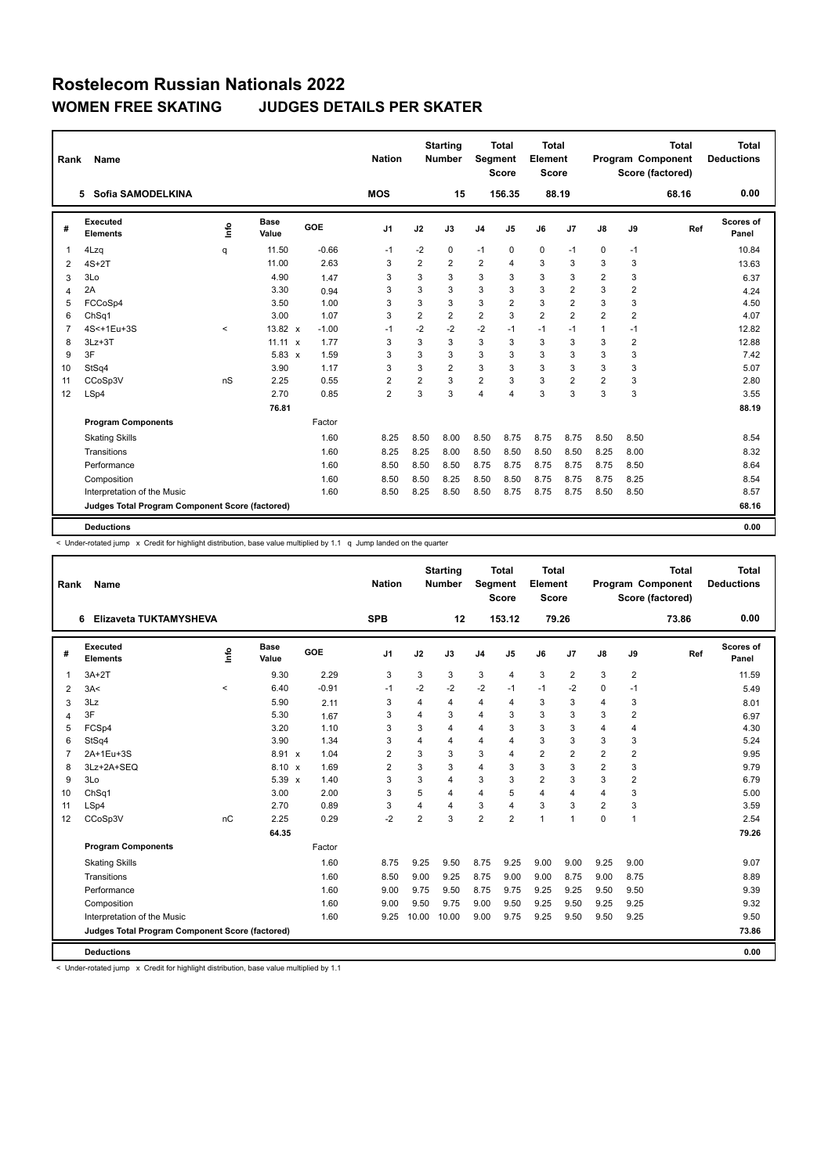| Rank           | Name                                            |         |                      |         | <b>Nation</b>  |                | <b>Starting</b><br><b>Number</b> | Segment        | Total<br><b>Score</b> | Total<br>Element<br><b>Score</b> |                |                |                | <b>Total</b><br>Program Component<br>Score (factored) | Total<br><b>Deductions</b> |
|----------------|-------------------------------------------------|---------|----------------------|---------|----------------|----------------|----------------------------------|----------------|-----------------------|----------------------------------|----------------|----------------|----------------|-------------------------------------------------------|----------------------------|
|                | Sofia SAMODELKINA<br>5.                         |         |                      |         | <b>MOS</b>     |                | 15                               |                | 156.35                | 88.19                            |                |                |                | 68.16                                                 | 0.00                       |
| #              | Executed<br><b>Elements</b>                     | Info    | <b>Base</b><br>Value | GOE     | J1             | J2             | J3                               | J <sub>4</sub> | J5                    | J6                               | J7             | J8             | J9             | Ref                                                   | Scores of<br>Panel         |
| 1              | 4Lzq                                            | q       | 11.50                | $-0.66$ | $-1$           | $-2$           | 0                                | $-1$           | 0                     | 0                                | $-1$           | 0              | $-1$           |                                                       | 10.84                      |
| 2              | $4S+2T$                                         |         | 11.00                | 2.63    | 3              | 2              | 2                                | 2              | 4                     | 3                                | 3              | 3              | 3              |                                                       | 13.63                      |
| 3              | 3Lo                                             |         | 4.90                 | 1.47    | 3              | 3              | 3                                | 3              | 3                     | 3                                | 3              | 2              | 3              |                                                       | 6.37                       |
| 4              | 2A                                              |         | 3.30                 | 0.94    | 3              | 3              | 3                                | 3              | 3                     | 3                                | $\overline{2}$ | 3              | $\overline{2}$ |                                                       | 4.24                       |
| 5              | FCCoSp4                                         |         | 3.50                 | 1.00    | 3              | 3              | 3                                | 3              | 2                     | 3                                | $\overline{2}$ | 3              | 3              |                                                       | 4.50                       |
| 6              | ChSq1                                           |         | 3.00                 | 1.07    | 3              | $\overline{2}$ | $\overline{2}$                   | $\overline{2}$ | 3                     | $\overline{2}$                   | $\overline{2}$ | $\overline{2}$ | $\overline{2}$ |                                                       | 4.07                       |
| $\overline{7}$ | 4S<+1Eu+3S                                      | $\prec$ | 13.82 $x$            | $-1.00$ | $-1$           | $-2$           | $-2$                             | $-2$           | $-1$                  | $-1$                             | $-1$           | 1              | $-1$           |                                                       | 12.82                      |
| 8              | $3Lz + 3T$                                      |         | $11.11 \times$       | 1.77    | 3              | 3              | 3                                | 3              | 3                     | 3                                | 3              | 3              | 2              |                                                       | 12.88                      |
| 9              | 3F                                              |         | $5.83 \times$        | 1.59    | 3              | 3              | 3                                | 3              | 3                     | 3                                | 3              | 3              | 3              |                                                       | 7.42                       |
| 10             | StSq4                                           |         | 3.90                 | 1.17    | 3              | 3              | $\overline{2}$                   | 3              | 3                     | 3                                | 3              | 3              | 3              |                                                       | 5.07                       |
| 11             | CCoSp3V                                         | nS      | 2.25                 | 0.55    | $\overline{2}$ | $\overline{2}$ | 3                                | $\overline{2}$ | 3                     | 3                                | $\overline{2}$ | $\overline{2}$ | 3              |                                                       | 2.80                       |
| 12             | LSp4                                            |         | 2.70                 | 0.85    | $\overline{2}$ | 3              | 3                                | $\overline{4}$ | 4                     | 3                                | 3              | 3              | 3              |                                                       | 3.55                       |
|                |                                                 |         | 76.81                |         |                |                |                                  |                |                       |                                  |                |                |                |                                                       | 88.19                      |
|                | <b>Program Components</b>                       |         |                      | Factor  |                |                |                                  |                |                       |                                  |                |                |                |                                                       |                            |
|                | <b>Skating Skills</b>                           |         |                      | 1.60    | 8.25           | 8.50           | 8.00                             | 8.50           | 8.75                  | 8.75                             | 8.75           | 8.50           | 8.50           |                                                       | 8.54                       |
|                | Transitions                                     |         |                      | 1.60    | 8.25           | 8.25           | 8.00                             | 8.50           | 8.50                  | 8.50                             | 8.50           | 8.25           | 8.00           |                                                       | 8.32                       |
|                | Performance                                     |         |                      | 1.60    | 8.50           | 8.50           | 8.50                             | 8.75           | 8.75                  | 8.75                             | 8.75           | 8.75           | 8.50           |                                                       | 8.64                       |
|                | Composition                                     |         |                      | 1.60    | 8.50           | 8.50           | 8.25                             | 8.50           | 8.50                  | 8.75                             | 8.75           | 8.75           | 8.25           |                                                       | 8.54                       |
|                | Interpretation of the Music                     |         |                      | 1.60    | 8.50           | 8.25           | 8.50                             | 8.50           | 8.75                  | 8.75                             | 8.75           | 8.50           | 8.50           |                                                       | 8.57                       |
|                | Judges Total Program Component Score (factored) |         |                      |         |                |                |                                  |                |                       |                                  |                |                |                |                                                       | 68.16                      |
|                | <b>Deductions</b>                               |         |                      |         |                |                |                                  |                |                       |                                  |                |                |                |                                                       | 0.00                       |

< Under-rotated jump x Credit for highlight distribution, base value multiplied by 1.1 q Jump landed on the quarter

| Rank           | <b>Name</b>                                     |         |                      |         | <b>Nation</b>  |                | <b>Starting</b><br><b>Number</b> | Segment        | <b>Total</b><br><b>Score</b> | Total<br>Element<br><b>Score</b> |                |                |                | <b>Total</b><br><b>Program Component</b><br>Score (factored) | Total<br><b>Deductions</b> |
|----------------|-------------------------------------------------|---------|----------------------|---------|----------------|----------------|----------------------------------|----------------|------------------------------|----------------------------------|----------------|----------------|----------------|--------------------------------------------------------------|----------------------------|
|                | Elizaveta TUKTAMYSHEVA<br>6                     |         |                      |         | <b>SPB</b>     |                | 12                               |                | 153.12                       |                                  | 79.26          |                |                | 73.86                                                        | 0.00                       |
| #              | Executed<br><b>Elements</b>                     | ١m      | <b>Base</b><br>Value | GOE     | J <sub>1</sub> | J2             | J3                               | J <sub>4</sub> | J <sub>5</sub>               | J6                               | J <sub>7</sub> | $\mathsf{J}8$  | J9             | Ref                                                          | <b>Scores of</b><br>Panel  |
| 1              | $3A+2T$                                         |         | 9.30                 | 2.29    | 3              | 3              | 3                                | 3              | $\overline{4}$               | 3                                | $\overline{2}$ | 3              | $\overline{2}$ |                                                              | 11.59                      |
| 2              | 3A<                                             | $\prec$ | 6.40                 | $-0.91$ | $-1$           | $-2$           | $-2$                             | $-2$           | $-1$                         | $-1$                             | $-2$           | $\Omega$       | $-1$           |                                                              | 5.49                       |
| 3              | 3Lz                                             |         | 5.90                 | 2.11    | 3              | 4              | 4                                | 4              | $\overline{4}$               | 3                                | 3              | 4              | 3              |                                                              | 8.01                       |
| 4              | 3F                                              |         | 5.30                 | 1.67    | 3              | $\overline{4}$ | 3                                | 4              | 3                            | 3                                | 3              | 3              | $\overline{2}$ |                                                              | 6.97                       |
| 5              | FCSp4                                           |         | 3.20                 | 1.10    | 3              | 3              | 4                                | 4              | 3                            | 3                                | 3              | 4              | $\overline{4}$ |                                                              | 4.30                       |
| 6              | StSq4                                           |         | 3.90                 | 1.34    | 3              | $\overline{4}$ | $\overline{4}$                   | $\overline{4}$ | $\overline{4}$               | 3                                | 3              | 3              | 3              |                                                              | 5.24                       |
| $\overline{7}$ | 2A+1Eu+3S                                       |         | 8.91 x               | 1.04    | $\overline{2}$ | 3              | 3                                | 3              | $\overline{4}$               | $\overline{2}$                   | $\overline{2}$ | $\overline{2}$ | $\overline{2}$ |                                                              | 9.95                       |
| 8              | 3Lz+2A+SEQ                                      |         | $8.10 \times$        | 1.69    | $\overline{2}$ | 3              | 3                                | 4              | 3                            | 3                                | 3              | $\overline{2}$ | 3              |                                                              | 9.79                       |
| 9              | 3Lo                                             |         | $5.39 \times$        | 1.40    | 3              | 3              | 4                                | 3              | 3                            | $\overline{2}$                   | 3              | 3              | $\overline{2}$ |                                                              | 6.79                       |
| 10             | Ch <sub>Sq1</sub>                               |         | 3.00                 | 2.00    | 3              | 5              | 4                                | 4              | 5                            | 4                                | 4              | 4              | 3              |                                                              | 5.00                       |
| 11             | LSp4                                            |         | 2.70                 | 0.89    | 3              | $\overline{4}$ | 4                                | 3              | $\overline{4}$               | 3                                | 3              | $\overline{2}$ | 3              |                                                              | 3.59                       |
| 12             | CCoSp3V                                         | nC      | 2.25                 | 0.29    | $-2$           | $\overline{2}$ | 3                                | $\overline{2}$ | $\overline{2}$               | 1                                | $\mathbf{1}$   | $\Omega$       | $\overline{1}$ |                                                              | 2.54                       |
|                |                                                 |         | 64.35                |         |                |                |                                  |                |                              |                                  |                |                |                |                                                              | 79.26                      |
|                | <b>Program Components</b>                       |         |                      | Factor  |                |                |                                  |                |                              |                                  |                |                |                |                                                              |                            |
|                | <b>Skating Skills</b>                           |         |                      | 1.60    | 8.75           | 9.25           | 9.50                             | 8.75           | 9.25                         | 9.00                             | 9.00           | 9.25           | 9.00           |                                                              | 9.07                       |
|                | Transitions                                     |         |                      | 1.60    | 8.50           | 9.00           | 9.25                             | 8.75           | 9.00                         | 9.00                             | 8.75           | 9.00           | 8.75           |                                                              | 8.89                       |
|                | Performance                                     |         |                      | 1.60    | 9.00           | 9.75           | 9.50                             | 8.75           | 9.75                         | 9.25                             | 9.25           | 9.50           | 9.50           |                                                              | 9.39                       |
|                | Composition                                     |         |                      | 1.60    | 9.00           | 9.50           | 9.75                             | 9.00           | 9.50                         | 9.25                             | 9.50           | 9.25           | 9.25           |                                                              | 9.32                       |
|                | Interpretation of the Music                     |         |                      | 1.60    | 9.25           | 10.00          | 10.00                            | 9.00           | 9.75                         | 9.25                             | 9.50           | 9.50           | 9.25           |                                                              | 9.50                       |
|                | Judges Total Program Component Score (factored) |         |                      |         |                |                |                                  |                |                              |                                  |                |                |                |                                                              | 73.86                      |
|                | <b>Deductions</b>                               |         |                      |         |                |                |                                  |                |                              |                                  |                |                |                |                                                              | 0.00                       |

< Under-rotated jump x Credit for highlight distribution, base value multiplied by 1.1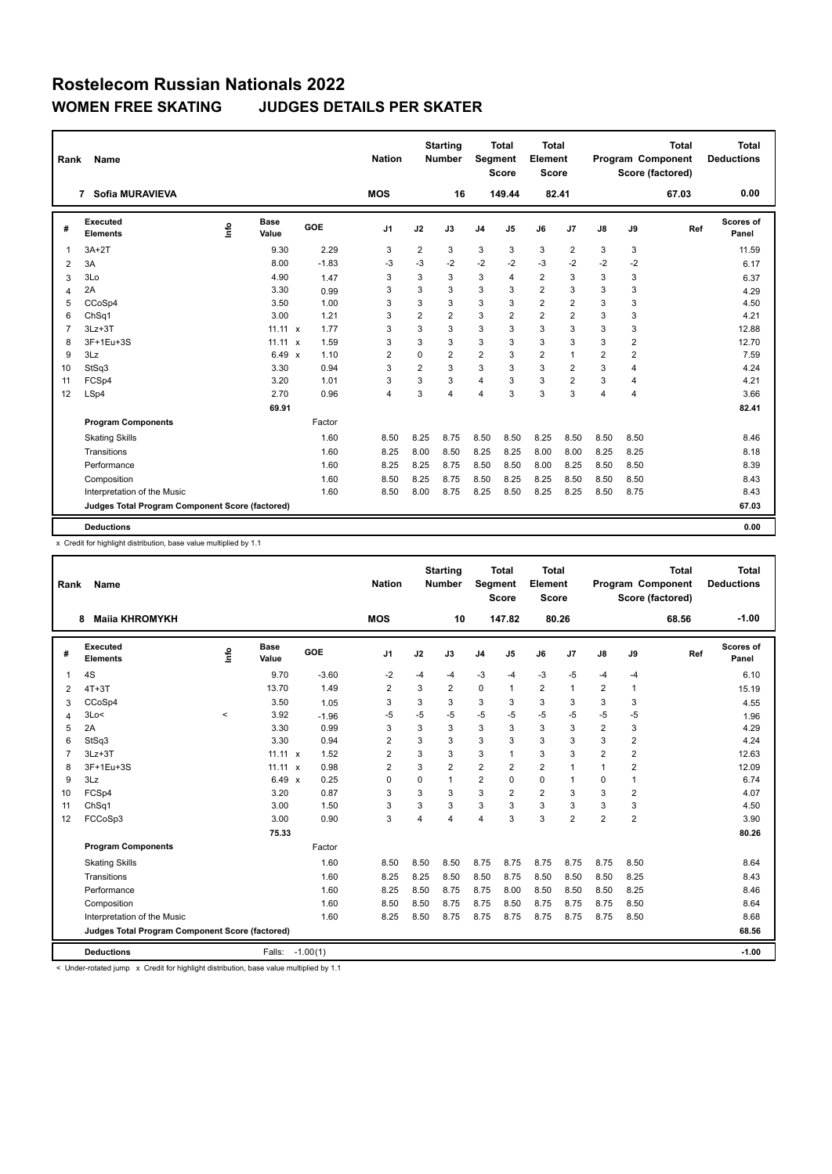| Rank           | <b>Name</b>                                     |             |                      |         | <b>Nation</b>  |                | <b>Starting</b><br><b>Number</b> | Segment        | Total<br><b>Score</b> | Total<br>Element<br><b>Score</b> |                |                |                | <b>Total</b><br>Program Component<br>Score (factored) | Total<br><b>Deductions</b> |
|----------------|-------------------------------------------------|-------------|----------------------|---------|----------------|----------------|----------------------------------|----------------|-----------------------|----------------------------------|----------------|----------------|----------------|-------------------------------------------------------|----------------------------|
|                | Sofia MURAVIEVA<br>7                            |             |                      |         | <b>MOS</b>     |                | 16                               |                | 149.44                | 82.41                            |                |                |                | 67.03                                                 | 0.00                       |
| #              | Executed<br><b>Elements</b>                     | <u>info</u> | <b>Base</b><br>Value | GOE     | J1             | J2             | J3                               | J <sub>4</sub> | J5                    | J6                               | J7             | J8             | J9             | Ref                                                   | Scores of<br>Panel         |
| 1              | $3A+2T$                                         |             | 9.30                 | 2.29    | 3              | $\overline{2}$ | 3                                | 3              | 3                     | 3                                | $\overline{2}$ | 3              | 3              |                                                       | 11.59                      |
| 2              | 3A                                              |             | 8.00                 | $-1.83$ | -3             | -3             | $-2$                             | -2             | $-2$                  | $-3$                             | $-2$           | $-2$           | $-2$           |                                                       | 6.17                       |
| 3              | 3Lo                                             |             | 4.90                 | 1.47    | 3              | 3              | 3                                | 3              | 4                     | $\overline{2}$                   | 3              | 3              | 3              |                                                       | 6.37                       |
| 4              | 2A                                              |             | 3.30                 | 0.99    | 3              | 3              | 3                                | 3              | 3                     | $\overline{2}$                   | 3              | 3              | 3              |                                                       | 4.29                       |
| 5              | CCoSp4                                          |             | 3.50                 | 1.00    | 3              | 3              | 3                                | 3              | 3                     | $\overline{2}$                   | $\overline{2}$ | 3              | 3              |                                                       | 4.50                       |
| 6              | ChSq1                                           |             | 3.00                 | 1.21    | 3              | $\overline{2}$ | $\overline{2}$                   | 3              | $\overline{2}$        | $\overline{2}$                   | $\overline{2}$ | 3              | 3              |                                                       | 4.21                       |
| $\overline{7}$ | $3Lz + 3T$                                      |             | $11.11 \times$       | 1.77    | 3              | 3              | 3                                | 3              | 3                     | 3                                | 3              | 3              | 3              |                                                       | 12.88                      |
| 8              | 3F+1Eu+3S                                       |             | $11.11 \times$       | 1.59    | 3              | 3              | 3                                | 3              | 3                     | 3                                | 3              | 3              | 2              |                                                       | 12.70                      |
| 9              | 3Lz                                             |             | 6.49 $\times$        | 1.10    | $\overline{2}$ | $\Omega$       | $\overline{2}$                   | 2              | 3                     | $\overline{2}$                   | $\mathbf{1}$   | $\overline{2}$ | $\overline{2}$ |                                                       | 7.59                       |
| 10             | StSq3                                           |             | 3.30                 | 0.94    | 3              | $\overline{2}$ | 3                                | 3              | 3                     | 3                                | $\overline{2}$ | 3              | 4              |                                                       | 4.24                       |
| 11             | FCSp4                                           |             | 3.20                 | 1.01    | 3              | 3              | 3                                | $\overline{4}$ | 3                     | 3                                | $\overline{2}$ | 3              | 4              |                                                       | 4.21                       |
| 12             | LSp4                                            |             | 2.70                 | 0.96    | $\overline{4}$ | 3              | 4                                | $\overline{4}$ | 3                     | 3                                | 3              | 4              | 4              |                                                       | 3.66                       |
|                |                                                 |             | 69.91                |         |                |                |                                  |                |                       |                                  |                |                |                |                                                       | 82.41                      |
|                | <b>Program Components</b>                       |             |                      | Factor  |                |                |                                  |                |                       |                                  |                |                |                |                                                       |                            |
|                | <b>Skating Skills</b>                           |             |                      | 1.60    | 8.50           | 8.25           | 8.75                             | 8.50           | 8.50                  | 8.25                             | 8.50           | 8.50           | 8.50           |                                                       | 8.46                       |
|                | Transitions                                     |             |                      | 1.60    | 8.25           | 8.00           | 8.50                             | 8.25           | 8.25                  | 8.00                             | 8.00           | 8.25           | 8.25           |                                                       | 8.18                       |
|                | Performance                                     |             |                      | 1.60    | 8.25           | 8.25           | 8.75                             | 8.50           | 8.50                  | 8.00                             | 8.25           | 8.50           | 8.50           |                                                       | 8.39                       |
|                | Composition                                     |             |                      | 1.60    | 8.50           | 8.25           | 8.75                             | 8.50           | 8.25                  | 8.25                             | 8.50           | 8.50           | 8.50           |                                                       | 8.43                       |
|                | Interpretation of the Music                     |             |                      | 1.60    | 8.50           | 8.00           | 8.75                             | 8.25           | 8.50                  | 8.25                             | 8.25           | 8.50           | 8.75           |                                                       | 8.43                       |
|                | Judges Total Program Component Score (factored) |             |                      |         |                |                |                                  |                |                       |                                  |                |                |                |                                                       | 67.03                      |
|                |                                                 |             |                      |         |                |                |                                  |                |                       |                                  |                |                |                |                                                       |                            |
|                | <b>Deductions</b>                               |             |                      |         |                |                |                                  |                |                       |                                  |                |                |                |                                                       | 0.00                       |

x Credit for highlight distribution, base value multiplied by 1.1

| Rank           | <b>Name</b>                                     |       |                      |            | <b>Nation</b>  |             | <b>Starting</b><br><b>Number</b> | Segment        | <b>Total</b><br><b>Score</b> | <b>Total</b><br>Element<br><b>Score</b> |                |                |                | <b>Total</b><br>Program Component<br>Score (factored) | <b>Total</b><br><b>Deductions</b> |
|----------------|-------------------------------------------------|-------|----------------------|------------|----------------|-------------|----------------------------------|----------------|------------------------------|-----------------------------------------|----------------|----------------|----------------|-------------------------------------------------------|-----------------------------------|
|                | <b>Maija KHROMYKH</b><br>8                      |       |                      |            | <b>MOS</b>     |             | 10                               |                | 147.82                       | 80.26                                   |                |                |                | 68.56                                                 | $-1.00$                           |
| #              | Executed<br><b>Elements</b>                     | ١m    | <b>Base</b><br>Value | GOE        | J <sub>1</sub> | J2          | J3                               | J <sub>4</sub> | J5                           | J6                                      | J7             | J8             | J9             | Ref                                                   | <b>Scores of</b><br>Panel         |
| 1              | 4S                                              |       | 9.70                 | $-3.60$    | $-2$           | $-4$        | $-4$                             | -3             | $-4$                         | $-3$                                    | $-5$           | $-4$           | $-4$           |                                                       | 6.10                              |
| 2              | $4T+3T$                                         |       | 13.70                | 1.49       | $\overline{2}$ | 3           | $\overline{2}$                   | $\pmb{0}$      | 1                            | $\overline{2}$                          | 1              | 2              | 1              |                                                       | 15.19                             |
| 3              | CCoSp4                                          |       | 3.50                 | 1.05       | 3              | 3           | 3                                | 3              | 3                            | 3                                       | 3              | 3              | 3              |                                                       | 4.55                              |
| 4              | 3Lo<                                            | $\,<$ | 3.92                 | $-1.96$    | -5             | -5          | $-5$                             | $-5$           | $-5$                         | $-5$                                    | $-5$           | $-5$           | $-5$           |                                                       | 1.96                              |
| 5              | 2A                                              |       | 3.30                 | 0.99       | 3              | 3           | 3                                | 3              | 3                            | 3                                       | 3              | $\overline{2}$ | 3              |                                                       | 4.29                              |
| 6              | StSq3                                           |       | 3.30                 | 0.94       | $\overline{2}$ | 3           | 3                                | 3              | 3                            | 3                                       | 3              | 3              | $\overline{2}$ |                                                       | 4.24                              |
| $\overline{7}$ | $3Lz + 3T$                                      |       | 11.11 $x$            | 1.52       | $\overline{2}$ | 3           | 3                                | 3              | 1                            | 3                                       | 3              | $\overline{2}$ | $\overline{2}$ |                                                       | 12.63                             |
| 8              | 3F+1Eu+3S                                       |       | $11.11 \times$       | 0.98       | $\overline{2}$ | 3           | $\overline{2}$                   | $\overline{2}$ | 2                            | $\overline{2}$                          | 1              | 1              | $\overline{2}$ |                                                       | 12.09                             |
| 9              | 3Lz                                             |       | 6.49 $\times$        | 0.25       | $\mathbf 0$    | $\mathbf 0$ | 1                                | $\overline{2}$ | 0                            | 0                                       | $\mathbf{1}$   | 0              | 1              |                                                       | 6.74                              |
| 10             | FCSp4                                           |       | 3.20                 | 0.87       | 3              | 3           | 3                                | 3              | $\overline{2}$               | $\overline{2}$                          | 3              | 3              | $\overline{2}$ |                                                       | 4.07                              |
| 11             | Ch <sub>Sq1</sub>                               |       | 3.00                 | 1.50       | 3              | 3           | 3                                | 3              | 3                            | 3                                       | 3              | 3              | 3              |                                                       | 4.50                              |
| 12             | FCCoSp3                                         |       | 3.00                 | 0.90       | 3              | 4           | 4                                | $\overline{4}$ | 3                            | 3                                       | $\overline{2}$ | $\overline{2}$ | 2              |                                                       | 3.90                              |
|                |                                                 |       | 75.33                |            |                |             |                                  |                |                              |                                         |                |                |                |                                                       | 80.26                             |
|                | <b>Program Components</b>                       |       |                      | Factor     |                |             |                                  |                |                              |                                         |                |                |                |                                                       |                                   |
|                | <b>Skating Skills</b>                           |       |                      | 1.60       | 8.50           | 8.50        | 8.50                             | 8.75           | 8.75                         | 8.75                                    | 8.75           | 8.75           | 8.50           |                                                       | 8.64                              |
|                | Transitions                                     |       |                      | 1.60       | 8.25           | 8.25        | 8.50                             | 8.50           | 8.75                         | 8.50                                    | 8.50           | 8.50           | 8.25           |                                                       | 8.43                              |
|                | Performance                                     |       |                      | 1.60       | 8.25           | 8.50        | 8.75                             | 8.75           | 8.00                         | 8.50                                    | 8.50           | 8.50           | 8.25           |                                                       | 8.46                              |
|                | Composition                                     |       |                      | 1.60       | 8.50           | 8.50        | 8.75                             | 8.75           | 8.50                         | 8.75                                    | 8.75           | 8.75           | 8.50           |                                                       | 8.64                              |
|                | Interpretation of the Music                     |       |                      | 1.60       | 8.25           | 8.50        | 8.75                             | 8.75           | 8.75                         | 8.75                                    | 8.75           | 8.75           | 8.50           |                                                       | 8.68                              |
|                | Judges Total Program Component Score (factored) |       |                      |            |                |             |                                  |                |                              |                                         |                |                |                |                                                       | 68.56                             |
|                | <b>Deductions</b>                               |       | Falls:               | $-1.00(1)$ |                |             |                                  |                |                              |                                         |                |                |                |                                                       | $-1.00$                           |

< Under-rotated jump x Credit for highlight distribution, base value multiplied by 1.1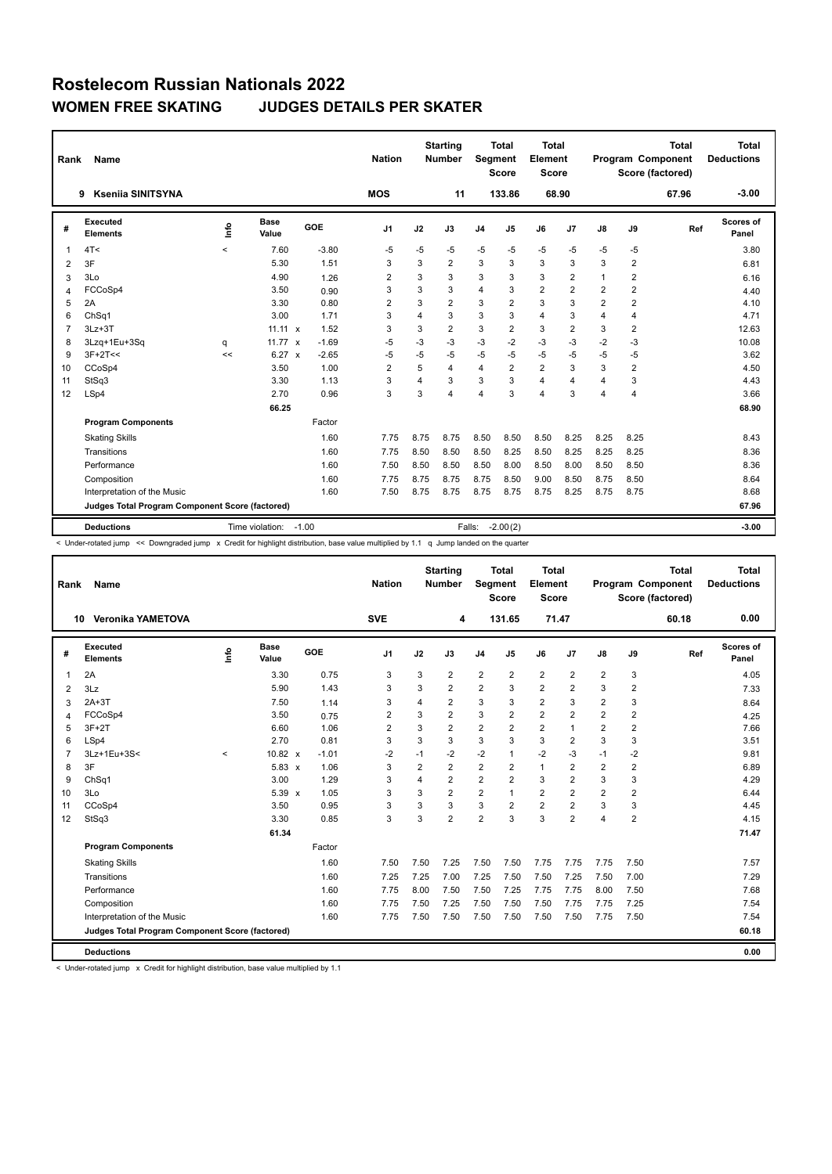|                | Rank<br>Name<br><b>Ksenija SINITSYNA</b><br>9   |            |                      |            | <b>Nation</b>  |                | <b>Starting</b><br><b>Number</b> | Segment        | <b>Total</b><br><b>Score</b> | <b>Total</b><br>Element<br><b>Score</b> |                |      |         | <b>Total</b><br>Program Component<br>Score (factored) | <b>Total</b><br><b>Deductions</b> |
|----------------|-------------------------------------------------|------------|----------------------|------------|----------------|----------------|----------------------------------|----------------|------------------------------|-----------------------------------------|----------------|------|---------|-------------------------------------------------------|-----------------------------------|
|                |                                                 |            |                      |            | <b>MOS</b>     |                | 11                               |                | 133.86                       |                                         | 68.90          |      |         | 67.96                                                 | $-3.00$                           |
| #              | Executed<br><b>Elements</b>                     | <b>Lin</b> | <b>Base</b><br>Value | <b>GOE</b> | J <sub>1</sub> | J2             | J3                               | J <sub>4</sub> | J5                           | J6                                      | J7             | J8   | J9      | Ref                                                   | Scores of<br>Panel                |
| 1              | 4T<                                             | $\prec$    | 7.60                 | $-3.80$    | $-5$           | $-5$           | $-5$                             | $-5$           | $-5$                         | $-5$                                    | $-5$           | $-5$ | $-5$    |                                                       | 3.80                              |
| 2              | 3F                                              |            | 5.30                 | 1.51       | 3              | 3              | $\overline{2}$                   | 3              | 3                            | 3                                       | 3              | 3    | 2       |                                                       | 6.81                              |
| 3              | 3Lo                                             |            | 4.90                 | 1.26       | 2              | 3              | 3                                | 3              | 3                            | 3                                       | $\overline{2}$ | 1    | 2       |                                                       | 6.16                              |
| $\overline{4}$ | FCCoSp4                                         |            | 3.50                 | 0.90       | 3              | 3              | 3                                | $\overline{4}$ | 3                            | $\overline{2}$                          | $\overline{2}$ | 2    | 2       |                                                       | 4.40                              |
| 5              | 2A                                              |            | 3.30                 | 0.80       | 2              | 3              | $\overline{2}$                   | 3              | $\overline{2}$               | 3                                       | 3              | 2    | 2       |                                                       | 4.10                              |
| 6              | Ch <sub>Sq1</sub>                               |            | 3.00                 | 1.71       | 3              | $\overline{4}$ | 3                                | 3              | 3                            | 4                                       | 3              | 4    | 4       |                                                       | 4.71                              |
| $\overline{7}$ | $3Lz + 3T$                                      |            | $11.11 \times$       | 1.52       | 3              | 3              | $\overline{2}$                   | 3              | $\overline{2}$               | 3                                       | $\overline{2}$ | 3    | 2       |                                                       | 12.63                             |
| 8              | 3Lzq+1Eu+3Sq                                    | q          | 11.77 $x$            | $-1.69$    | -5             | -3             | $-3$                             | -3             | $-2$                         | $-3$                                    | $-3$           | $-2$ | $-3$    |                                                       | 10.08                             |
| 9              | $3F+2T<<$                                       | <<         | $6.27 \times$        | $-2.65$    | -5             | $-5$           | $-5$                             | $-5$           | $-5$                         | $-5$                                    | $-5$           | $-5$ | $-5$    |                                                       | 3.62                              |
| 10             | CCoSp4                                          |            | 3.50                 | 1.00       | $\overline{2}$ | 5              | 4                                | $\overline{4}$ | $\overline{2}$               | $\overline{2}$                          | 3              | 3    | 2       |                                                       | 4.50                              |
| 11             | StSq3                                           |            | 3.30                 | 1.13       | 3              | $\overline{4}$ | 3                                | 3              | 3                            | 4                                       | $\overline{4}$ | 4    | 3       |                                                       | 4.43                              |
| 12             | LSp4                                            |            | 2.70                 | 0.96       | 3              | 3              | 4                                | $\overline{4}$ | 3                            | 4                                       | 3              | 4    | 4       |                                                       | 3.66                              |
|                |                                                 |            | 66.25                |            |                |                |                                  |                |                              |                                         |                |      |         |                                                       | 68.90                             |
|                | <b>Program Components</b>                       |            |                      | Factor     |                |                |                                  |                |                              |                                         |                |      |         |                                                       |                                   |
|                | <b>Skating Skills</b>                           |            |                      | 1.60       | 7.75           | 8.75           | 8.75                             | 8.50           | 8.50                         | 8.50                                    | 8.25           | 8.25 | 8.25    |                                                       | 8.43                              |
|                | Transitions                                     |            |                      | 1.60       | 7.75           | 8.50           | 8.50                             | 8.50           | 8.25                         | 8.50                                    | 8.25           | 8.25 | 8.25    |                                                       | 8.36                              |
|                | Performance                                     |            |                      | 1.60       | 7.50           | 8.50           | 8.50                             | 8.50           | 8.00                         | 8.50                                    | 8.00           | 8.50 | 8.50    |                                                       | 8.36                              |
|                | Composition                                     |            |                      | 1.60       | 7.75           | 8.75           | 8.75                             | 8.75           | 8.50                         | 9.00                                    | 8.50           | 8.75 | 8.50    |                                                       | 8.64                              |
|                | Interpretation of the Music                     |            |                      | 1.60       | 7.50           | 8.75           | 8.75                             | 8.75           | 8.75                         | 8.75                                    | 8.25           | 8.75 | 8.75    |                                                       | 8.68                              |
|                | Judges Total Program Component Score (factored) |            |                      |            |                |                |                                  |                |                              |                                         |                |      |         |                                                       | 67.96                             |
|                | <b>Deductions</b>                               | $-1.00$    |                      |            |                | Falls:         | $-2.00(2)$                       |                |                              |                                         |                |      | $-3.00$ |                                                       |                                   |

< Under-rotated jump << Downgraded jump x Credit for highlight distribution, base value multiplied by 1.1 q Jump landed on the quarter

| Rank | Name                                            |       |                      |         | <b>Nation</b>  |                | <b>Starting</b><br><b>Number</b> | <b>Segment</b> | <b>Total</b><br><b>Score</b> | <b>Total</b><br>Element<br><b>Score</b> |                |                |                | <b>Total</b><br>Program Component<br>Score (factored) | <b>Total</b><br><b>Deductions</b> |
|------|-------------------------------------------------|-------|----------------------|---------|----------------|----------------|----------------------------------|----------------|------------------------------|-----------------------------------------|----------------|----------------|----------------|-------------------------------------------------------|-----------------------------------|
|      | <b>Veronika YAMETOVA</b><br>10                  |       |                      |         | <b>SVE</b>     |                | 4                                |                | 131.65                       | 71.47                                   |                |                |                | 60.18                                                 | 0.00                              |
| #    | Executed<br><b>Elements</b>                     | ١f٥   | <b>Base</b><br>Value | GOE     | J <sub>1</sub> | J2             | J3                               | J <sub>4</sub> | J5                           | J6                                      | J <sub>7</sub> | $\mathsf{J}8$  | J9             | Ref                                                   | <b>Scores of</b><br>Panel         |
| 1    | 2A                                              |       | 3.30                 | 0.75    | 3              | 3              | $\overline{2}$                   | $\overline{2}$ | $\overline{2}$               | $\overline{2}$                          | $\overline{2}$ | $\overline{2}$ | 3              |                                                       | 4.05                              |
| 2    | 3Lz                                             |       | 5.90                 | 1.43    | 3              | 3              | $\overline{2}$                   | $\overline{2}$ | 3                            | $\overline{2}$                          | $\overline{2}$ | 3              | $\overline{2}$ |                                                       | 7.33                              |
| 3    | $2A+3T$                                         |       | 7.50                 | 1.14    | 3              | 4              | 2                                | 3              | 3                            | $\overline{2}$                          | 3              | 2              | 3              |                                                       | 8.64                              |
| 4    | FCCoSp4                                         |       | 3.50                 | 0.75    | $\overline{2}$ | 3              | $\overline{2}$                   | 3              | $\overline{2}$               | $\overline{2}$                          | $\overline{2}$ | $\overline{2}$ | $\overline{2}$ |                                                       | 4.25                              |
| 5    | $3F+2T$                                         |       | 6.60                 | 1.06    | $\overline{2}$ | 3              | $\overline{2}$                   | $\overline{2}$ | $\overline{2}$               | $\overline{2}$                          | $\mathbf{1}$   | $\overline{2}$ | $\overline{2}$ |                                                       | 7.66                              |
| 6    | LSp4                                            |       | 2.70                 | 0.81    | 3              | 3              | 3                                | 3              | 3                            | 3                                       | $\overline{2}$ | 3              | 3              |                                                       | 3.51                              |
| 7    | 3Lz+1Eu+3S<                                     | $\,<$ | $10.82 \times$       | $-1.01$ | -2             | $-1$           | -2                               | $-2$           | 1                            | $-2$                                    | $-3$           | $-1$           | $-2$           |                                                       | 9.81                              |
| 8    | 3F                                              |       | $5.83 \times$        | 1.06    | 3              | $\overline{2}$ | $\overline{2}$                   | $\overline{2}$ | $\overline{2}$               | $\mathbf{1}$                            | $\overline{2}$ | $\overline{2}$ | $\overline{2}$ |                                                       | 6.89                              |
| 9    | ChSq1                                           |       | 3.00                 | 1.29    | 3              | $\overline{4}$ | $\overline{2}$                   | $\overline{2}$ | $\overline{2}$               | 3                                       | $\overline{2}$ | 3              | 3              |                                                       | 4.29                              |
| 10   | 3Lo                                             |       | 5.39 x               | 1.05    | 3              | 3              | $\overline{2}$                   | $\overline{2}$ | 1                            | $\overline{2}$                          | $\overline{2}$ | $\overline{2}$ | $\overline{2}$ |                                                       | 6.44                              |
| 11   | CCoSp4                                          |       | 3.50                 | 0.95    | 3              | 3              | 3                                | 3              | $\overline{2}$               | $\overline{2}$                          | $\overline{2}$ | 3              | 3              |                                                       | 4.45                              |
| 12   | StSq3                                           |       | 3.30                 | 0.85    | 3              | 3              | $\overline{2}$                   | $\overline{2}$ | 3                            | 3                                       | $\overline{2}$ | $\overline{4}$ | $\overline{2}$ |                                                       | 4.15                              |
|      |                                                 |       | 61.34                |         |                |                |                                  |                |                              |                                         |                |                |                |                                                       | 71.47                             |
|      | <b>Program Components</b>                       |       |                      | Factor  |                |                |                                  |                |                              |                                         |                |                |                |                                                       |                                   |
|      | <b>Skating Skills</b>                           |       |                      | 1.60    | 7.50           | 7.50           | 7.25                             | 7.50           | 7.50                         | 7.75                                    | 7.75           | 7.75           | 7.50           |                                                       | 7.57                              |
|      | Transitions                                     |       |                      | 1.60    | 7.25           | 7.25           | 7.00                             | 7.25           | 7.50                         | 7.50                                    | 7.25           | 7.50           | 7.00           |                                                       | 7.29                              |
|      | Performance                                     |       |                      | 1.60    | 7.75           | 8.00           | 7.50                             | 7.50           | 7.25                         | 7.75                                    | 7.75           | 8.00           | 7.50           |                                                       | 7.68                              |
|      | Composition                                     |       |                      | 1.60    | 7.75           | 7.50           | 7.25                             | 7.50           | 7.50                         | 7.50                                    | 7.75           | 7.75           | 7.25           |                                                       | 7.54                              |
|      | Interpretation of the Music                     |       |                      | 1.60    | 7.75           | 7.50           | 7.50                             | 7.50           | 7.50                         | 7.50                                    | 7.50           | 7.75           | 7.50           |                                                       | 7.54                              |
|      | Judges Total Program Component Score (factored) |       |                      |         |                |                |                                  |                |                              |                                         |                |                |                |                                                       | 60.18                             |
|      | <b>Deductions</b>                               |       |                      |         |                |                |                                  |                |                              |                                         |                |                |                |                                                       | 0.00                              |

< Under-rotated jump x Credit for highlight distribution, base value multiplied by 1.1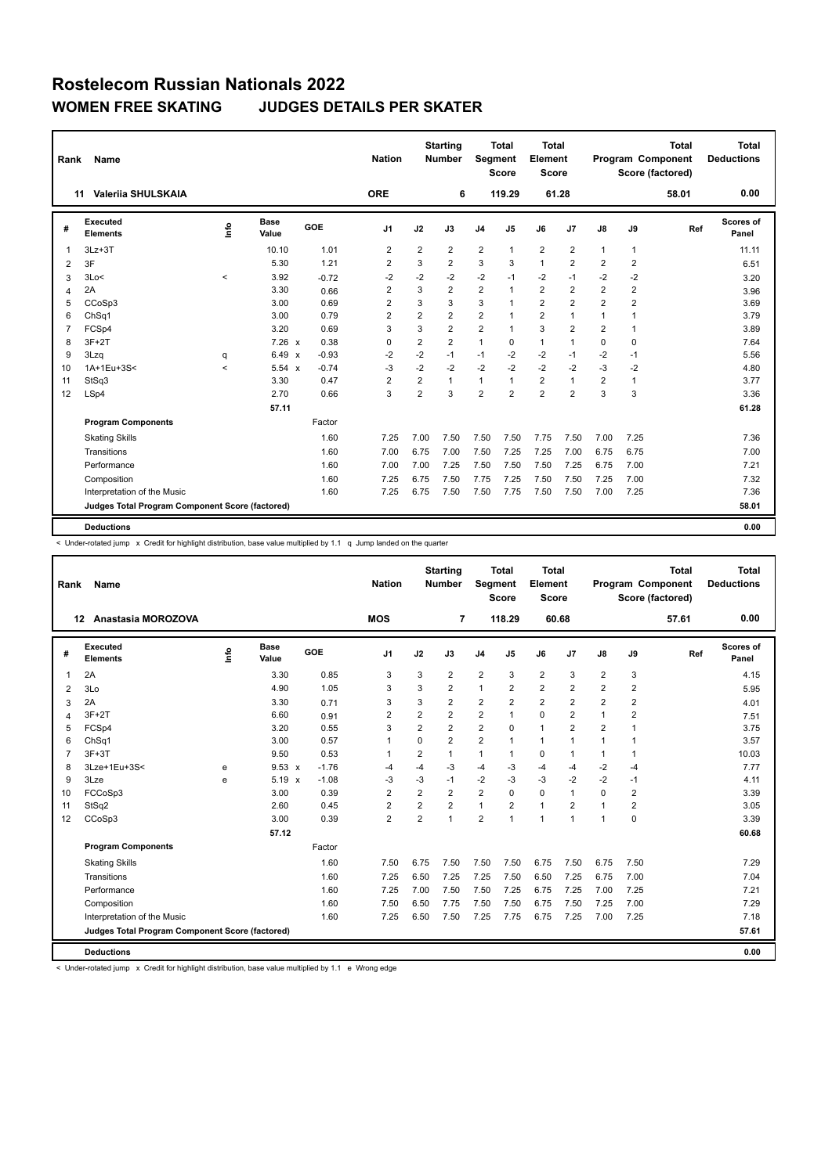| Rank           | Name                                            |         |                      |         | <b>Nation</b>  |                | <b>Starting</b><br><b>Number</b> | <b>Segment</b> | <b>Total</b><br><b>Score</b> | <b>Total</b><br>Element<br><b>Score</b> |                |                |                | <b>Total</b><br>Program Component<br>Score (factored) | <b>Total</b><br><b>Deductions</b> |
|----------------|-------------------------------------------------|---------|----------------------|---------|----------------|----------------|----------------------------------|----------------|------------------------------|-----------------------------------------|----------------|----------------|----------------|-------------------------------------------------------|-----------------------------------|
| 11             | Valerija SHULSKAIA                              |         |                      |         | <b>ORE</b>     |                | 6                                |                | 119.29                       |                                         | 61.28          |                |                | 58.01                                                 | 0.00                              |
| #              | Executed<br><b>Elements</b>                     | Info    | <b>Base</b><br>Value | GOE     | J <sub>1</sub> | J2             | J3                               | J <sub>4</sub> | J5                           | J6                                      | J7             | J8             | J9             | Ref                                                   | Scores of<br>Panel                |
| 1              | $3Lz + 3T$                                      |         | 10.10                | 1.01    | $\overline{2}$ | $\overline{2}$ | $\overline{2}$                   | $\overline{2}$ | 1                            | $\overline{2}$                          | $\overline{2}$ | $\mathbf{1}$   | 1              |                                                       | 11.11                             |
| $\overline{2}$ | 3F                                              |         | 5.30                 | 1.21    | $\overline{2}$ | 3              | $\overline{2}$                   | 3              | 3                            | $\mathbf{1}$                            | $\overline{2}$ | 2              | $\overline{2}$ |                                                       | 6.51                              |
| 3              | 3Lo<                                            | $\,<$   | 3.92                 | $-0.72$ | $-2$           | $-2$           | $-2$                             | $-2$           | $-1$                         | $-2$                                    | $-1$           | $-2$           | $-2$           |                                                       | 3.20                              |
| 4              | 2A                                              |         | 3.30                 | 0.66    | $\overline{2}$ | 3              | $\overline{2}$                   | $\overline{2}$ | $\mathbf{1}$                 | $\overline{2}$                          | $\overline{2}$ | $\overline{2}$ | $\overline{2}$ |                                                       | 3.96                              |
| 5              | CCoSp3                                          |         | 3.00                 | 0.69    | 2              | 3              | 3                                | 3              | $\mathbf{1}$                 | $\overline{2}$                          | $\overline{2}$ | $\overline{2}$ | $\overline{2}$ |                                                       | 3.69                              |
| 6              | ChSq1                                           |         | 3.00                 | 0.79    | $\overline{2}$ | $\overline{2}$ | $\overline{2}$                   | $\overline{2}$ | 1                            | $\overline{2}$                          | $\mathbf{1}$   | $\mathbf{1}$   | 1              |                                                       | 3.79                              |
| $\overline{7}$ | FCSp4                                           |         | 3.20                 | 0.69    | 3              | 3              | $\overline{2}$                   | $\overline{2}$ | $\mathbf{1}$                 | 3                                       | $\overline{2}$ | $\overline{2}$ | 1              |                                                       | 3.89                              |
| 8              | $3F+2T$                                         |         | 7.26 x               | 0.38    | 0              | 2              | $\overline{2}$                   | 1              | 0                            | 1                                       | $\overline{1}$ | 0              | 0              |                                                       | 7.64                              |
| 9              | 3Lzq                                            | q       | 6.49 x               | $-0.93$ | $-2$           | $-2$           | $-1$                             | $-1$           | $-2$                         | $-2$                                    | $-1$           | $-2$           | $-1$           |                                                       | 5.56                              |
| 10             | 1A+1Eu+3S<                                      | $\prec$ | 5.54 x               | $-0.74$ | $-3$           | $-2$           | $-2$                             | $-2$           | $-2$                         | $-2$                                    | $-2$           | $-3$           | $-2$           |                                                       | 4.80                              |
| 11             | StSq3                                           |         | 3.30                 | 0.47    | $\overline{2}$ | 2              | $\mathbf{1}$                     | $\mathbf{1}$   | $\mathbf{1}$                 | $\overline{2}$                          | $\mathbf{1}$   | $\overline{2}$ | 1              |                                                       | 3.77                              |
| 12             | LSp4                                            |         | 2.70                 | 0.66    | 3              | $\overline{2}$ | 3                                | $\overline{2}$ | $\overline{2}$               | $\overline{2}$                          | $\overline{2}$ | 3              | 3              |                                                       | 3.36                              |
|                |                                                 |         | 57.11                |         |                |                |                                  |                |                              |                                         |                |                |                |                                                       | 61.28                             |
|                | <b>Program Components</b>                       |         |                      | Factor  |                |                |                                  |                |                              |                                         |                |                |                |                                                       |                                   |
|                | <b>Skating Skills</b>                           |         |                      | 1.60    | 7.25           | 7.00           | 7.50                             | 7.50           | 7.50                         | 7.75                                    | 7.50           | 7.00           | 7.25           |                                                       | 7.36                              |
|                | Transitions                                     |         |                      | 1.60    | 7.00           | 6.75           | 7.00                             | 7.50           | 7.25                         | 7.25                                    | 7.00           | 6.75           | 6.75           |                                                       | 7.00                              |
|                | Performance                                     |         |                      | 1.60    | 7.00           | 7.00           | 7.25                             | 7.50           | 7.50                         | 7.50                                    | 7.25           | 6.75           | 7.00           |                                                       | 7.21                              |
|                | Composition                                     |         |                      | 1.60    | 7.25           | 6.75           | 7.50                             | 7.75           | 7.25                         | 7.50                                    | 7.50           | 7.25           | 7.00           |                                                       | 7.32                              |
|                | Interpretation of the Music                     |         |                      | 1.60    | 7.25           | 6.75           | 7.50                             | 7.50           | 7.75                         | 7.50                                    | 7.50           | 7.00           | 7.25           |                                                       | 7.36                              |
|                | Judges Total Program Component Score (factored) |         |                      |         |                |                |                                  |                |                              |                                         |                |                |                |                                                       | 58.01                             |
|                | <b>Deductions</b>                               |         |                      |         |                |                |                                  |                |                              |                                         |                |                |                |                                                       | 0.00                              |

< Under-rotated jump x Credit for highlight distribution, base value multiplied by 1.1 q Jump landed on the quarter

| Rank           | <b>Name</b>                                     |      |                      |         | <b>Nation</b>  |                | <b>Starting</b><br><b>Number</b> | Segment        | <b>Total</b><br><b>Score</b> | Total<br>Element<br><b>Score</b> |                |                |                | <b>Total</b><br><b>Program Component</b><br>Score (factored) | Total<br><b>Deductions</b> |
|----------------|-------------------------------------------------|------|----------------------|---------|----------------|----------------|----------------------------------|----------------|------------------------------|----------------------------------|----------------|----------------|----------------|--------------------------------------------------------------|----------------------------|
|                | Anastasia MOROZOVA<br>$12 \,$                   |      |                      |         | <b>MOS</b>     |                | 7                                |                | 118.29                       | 60.68                            |                |                |                | 57.61                                                        | 0.00                       |
| #              | Executed<br><b>Elements</b>                     | lnfo | <b>Base</b><br>Value | GOE     | J <sub>1</sub> | J2             | J3                               | J <sub>4</sub> | J <sub>5</sub>               | J6                               | J <sub>7</sub> | J8             | J9             | Ref                                                          | <b>Scores of</b><br>Panel  |
| 1              | 2A                                              |      | 3.30                 | 0.85    | 3              | 3              | $\overline{2}$                   | $\overline{2}$ | 3                            | $\overline{2}$                   | 3              | $\overline{2}$ | 3              |                                                              | 4.15                       |
| 2              | 3Lo                                             |      | 4.90                 | 1.05    | 3              | 3              | $\overline{2}$                   | 1              | $\overline{2}$               | $\overline{2}$                   | $\overline{2}$ | $\overline{2}$ | $\overline{2}$ |                                                              | 5.95                       |
| 3              | 2A                                              |      | 3.30                 | 0.71    | 3              | 3              | $\overline{2}$                   | 2              | $\overline{2}$               | $\overline{2}$                   | $\overline{2}$ | $\overline{2}$ | $\overline{2}$ |                                                              | 4.01                       |
| 4              | $3F+2T$                                         |      | 6.60                 | 0.91    | $\overline{2}$ | $\overline{2}$ | $\overline{2}$                   | $\overline{2}$ | $\mathbf{1}$                 | $\Omega$                         | $\overline{2}$ | 1              | $\overline{2}$ |                                                              | 7.51                       |
| 5              | FCSp4                                           |      | 3.20                 | 0.55    | 3              | 2              | $\overline{2}$                   | $\overline{2}$ | $\mathbf 0$                  | $\overline{1}$                   | $\overline{2}$ | $\overline{2}$ | $\overline{1}$ |                                                              | 3.75                       |
| 6              | ChSq1                                           |      | 3.00                 | 0.57    | 1              | $\mathbf 0$    | $\overline{2}$                   | 2              | $\mathbf{1}$                 | $\mathbf{1}$                     | $\mathbf{1}$   | 1              | $\mathbf{1}$   |                                                              | 3.57                       |
| $\overline{7}$ | $3F+3T$                                         |      | 9.50                 | 0.53    | 1              | 2              | $\mathbf{1}$                     | 1              | $\mathbf{1}$                 | 0                                | $\mathbf{1}$   | 1              | $\mathbf{1}$   |                                                              | 10.03                      |
| 8              | 3Lze+1Eu+3S<                                    | e    | $9.53 \times$        | $-1.76$ | -4             | $-4$           | $-3$                             | $-4$           | $-3$                         | $-4$                             | $-4$           | $-2$           | $-4$           |                                                              | 7.77                       |
| 9              | 3Lze                                            | e    | $5.19 \times$        | $-1.08$ | -3             | $-3$           | $-1$                             | $-2$           | $-3$                         | $-3$                             | $-2$           | $-2$           | $-1$           |                                                              | 4.11                       |
| 10             | FCCoSp3                                         |      | 3.00                 | 0.39    | $\overline{2}$ | $\overline{2}$ | $\overline{2}$                   | $\overline{2}$ | 0                            | $\mathbf 0$                      | $\mathbf{1}$   | $\Omega$       | $\overline{2}$ |                                                              | 3.39                       |
| 11             | StSq2                                           |      | 2.60                 | 0.45    | $\overline{2}$ | 2              | $\overline{2}$                   | 1              | $\overline{2}$               | $\mathbf{1}$                     | $\overline{2}$ | 1              | $\overline{2}$ |                                                              | 3.05                       |
| 12             | CCoSp3                                          |      | 3.00                 | 0.39    | $\overline{2}$ | $\overline{2}$ | $\mathbf{1}$                     | $\overline{2}$ | $\overline{1}$               | 1                                | $\mathbf{1}$   | -1             | 0              |                                                              | 3.39                       |
|                |                                                 |      | 57.12                |         |                |                |                                  |                |                              |                                  |                |                |                |                                                              | 60.68                      |
|                | <b>Program Components</b>                       |      |                      | Factor  |                |                |                                  |                |                              |                                  |                |                |                |                                                              |                            |
|                | <b>Skating Skills</b>                           |      |                      | 1.60    | 7.50           | 6.75           | 7.50                             | 7.50           | 7.50                         | 6.75                             | 7.50           | 6.75           | 7.50           |                                                              | 7.29                       |
|                | Transitions                                     |      |                      | 1.60    | 7.25           | 6.50           | 7.25                             | 7.25           | 7.50                         | 6.50                             | 7.25           | 6.75           | 7.00           |                                                              | 7.04                       |
|                | Performance                                     |      |                      | 1.60    | 7.25           | 7.00           | 7.50                             | 7.50           | 7.25                         | 6.75                             | 7.25           | 7.00           | 7.25           |                                                              | 7.21                       |
|                | Composition                                     |      |                      | 1.60    | 7.50           | 6.50           | 7.75                             | 7.50           | 7.50                         | 6.75                             | 7.50           | 7.25           | 7.00           |                                                              | 7.29                       |
|                | Interpretation of the Music                     |      |                      | 1.60    | 7.25           | 6.50           | 7.50                             | 7.25           | 7.75                         | 6.75                             | 7.25           | 7.00           | 7.25           |                                                              | 7.18                       |
|                | Judges Total Program Component Score (factored) |      |                      |         |                |                |                                  |                |                              |                                  |                |                |                |                                                              | 57.61                      |
|                | <b>Deductions</b>                               |      |                      |         |                |                |                                  |                |                              |                                  |                |                |                |                                                              | 0.00                       |

< Under-rotated jump x Credit for highlight distribution, base value multiplied by 1.1 e Wrong edge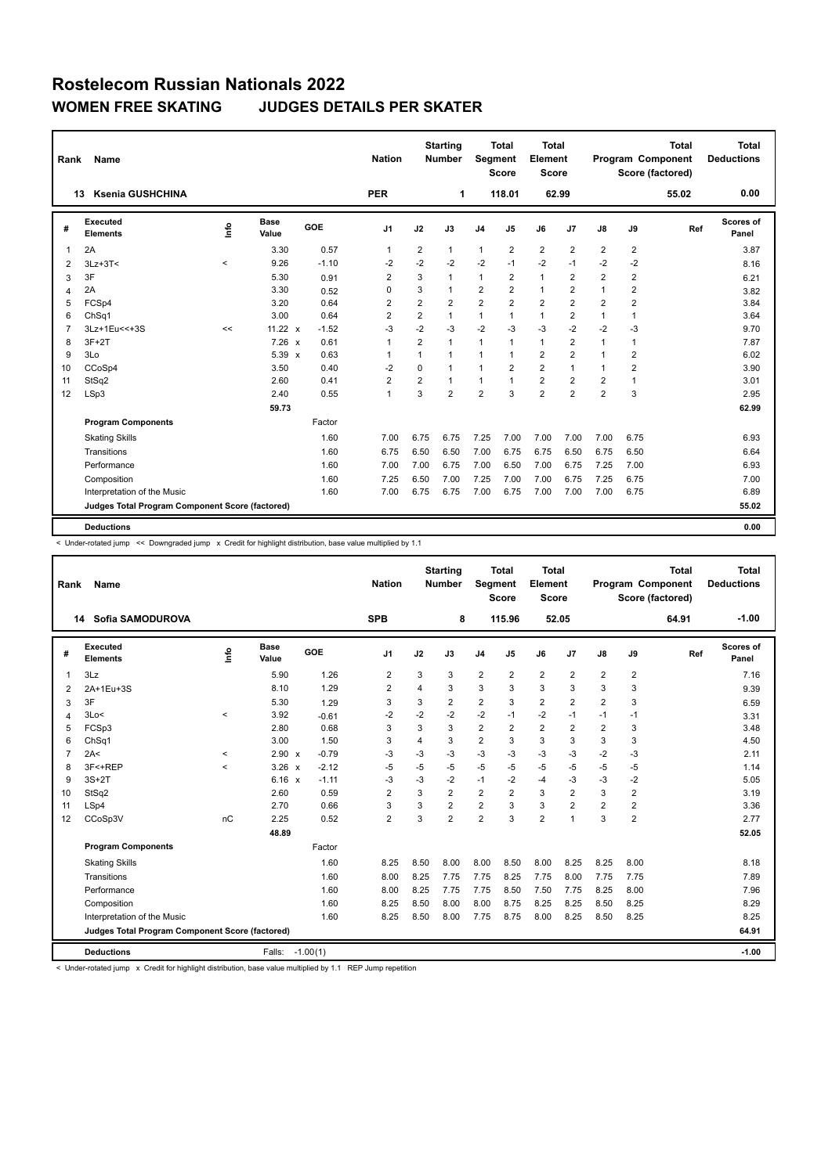| Rank           | Name                                            |       |                      |         | <b>Nation</b>  |                | <b>Starting</b><br><b>Number</b> | Segment        | <b>Total</b><br><b>Score</b> | Total<br>Element<br><b>Score</b> |                |                |                | <b>Total</b><br>Program Component<br>Score (factored) | Total<br><b>Deductions</b> |
|----------------|-------------------------------------------------|-------|----------------------|---------|----------------|----------------|----------------------------------|----------------|------------------------------|----------------------------------|----------------|----------------|----------------|-------------------------------------------------------|----------------------------|
|                | <b>Ksenia GUSHCHINA</b><br>13                   |       |                      |         | <b>PER</b>     |                | 1                                |                | 118.01                       | 62.99                            |                |                |                | 55.02                                                 | 0.00                       |
| #              | <b>Executed</b><br><b>Elements</b>              | Info  | <b>Base</b><br>Value | GOE     | J1             | J2             | J3                               | J <sub>4</sub> | J5                           | J6                               | J7             | $\mathsf{J}8$  | J9             | Ref                                                   | Scores of<br>Panel         |
| 1              | 2A                                              |       | 3.30                 | 0.57    | $\mathbf{1}$   | $\overline{2}$ | $\mathbf{1}$                     | $\mathbf{1}$   | 2                            | $\overline{2}$                   | $\overline{2}$ | $\overline{2}$ | $\overline{2}$ |                                                       | 3.87                       |
| 2              | $3Lz + 3T <$                                    | $\,<$ | 9.26                 | $-1.10$ | $-2$           | $-2$           | $-2$                             | $-2$           | $-1$                         | $-2$                             | $-1$           | $-2$           | $-2$           |                                                       | 8.16                       |
| 3              | 3F                                              |       | 5.30                 | 0.91    | $\overline{2}$ | 3              | $\mathbf{1}$                     | $\mathbf{1}$   | $\overline{2}$               | $\mathbf{1}$                     | $\overline{2}$ | $\overline{2}$ | 2              |                                                       | 6.21                       |
| 4              | 2A                                              |       | 3.30                 | 0.52    | 0              | 3              | $\mathbf{1}$                     | $\overline{2}$ | $\overline{2}$               | $\mathbf{1}$                     | $\overline{2}$ | $\overline{1}$ | $\overline{2}$ |                                                       | 3.82                       |
| 5              | FCSp4                                           |       | 3.20                 | 0.64    | 2              | $\overline{2}$ | $\overline{2}$                   | $\overline{2}$ | $\overline{2}$               | $\overline{2}$                   | $\overline{2}$ | 2              | $\overline{2}$ |                                                       | 3.84                       |
| 6              | ChSq1                                           |       | 3.00                 | 0.64    | $\overline{2}$ | $\overline{2}$ | $\mathbf{1}$                     | $\mathbf{1}$   | 1                            | $\mathbf{1}$                     | $\overline{2}$ | 1              | $\mathbf{1}$   |                                                       | 3.64                       |
| $\overline{7}$ | 3Lz+1Eu<<+3S                                    | <<    | 11.22 $\times$       | $-1.52$ | -3             | $-2$           | $-3$                             | $-2$           | $-3$                         | $-3$                             | $-2$           | $-2$           | $-3$           |                                                       | 9.70                       |
| 8              | $3F+2T$                                         |       | $7.26 \times$        | 0.61    | $\mathbf{1}$   | 2              | 1                                | $\mathbf{1}$   | 1                            | $\mathbf{1}$                     | $\overline{2}$ | 1              | 1              |                                                       | 7.87                       |
| 9              | 3Lo                                             |       | $5.39 \times$        | 0.63    | 1              | $\mathbf{1}$   | $\mathbf{1}$                     | $\mathbf{1}$   | 1                            | $\overline{2}$                   | $\overline{2}$ | 1              | $\overline{2}$ |                                                       | 6.02                       |
| 10             | CCoSp4                                          |       | 3.50                 | 0.40    | $-2$           | $\mathbf 0$    | $\mathbf{1}$                     | $\mathbf{1}$   | $\overline{2}$               | $\overline{2}$                   | $\mathbf{1}$   | 1              | $\overline{2}$ |                                                       | 3.90                       |
| 11             | StSq2                                           |       | 2.60                 | 0.41    | 2              | $\overline{2}$ | $\mathbf{1}$                     | $\mathbf{1}$   | 1                            | $\overline{2}$                   | $\overline{2}$ | 2              | 1              |                                                       | 3.01                       |
| 12             | LSp3                                            |       | 2.40                 | 0.55    | $\mathbf{1}$   | 3              | $\overline{2}$                   | $\overline{2}$ | 3                            | $\overline{2}$                   | $\overline{2}$ | $\overline{2}$ | 3              |                                                       | 2.95                       |
|                |                                                 |       | 59.73                |         |                |                |                                  |                |                              |                                  |                |                |                |                                                       | 62.99                      |
|                | <b>Program Components</b>                       |       |                      | Factor  |                |                |                                  |                |                              |                                  |                |                |                |                                                       |                            |
|                | <b>Skating Skills</b>                           |       |                      | 1.60    | 7.00           | 6.75           | 6.75                             | 7.25           | 7.00                         | 7.00                             | 7.00           | 7.00           | 6.75           |                                                       | 6.93                       |
|                | Transitions                                     |       |                      | 1.60    | 6.75           | 6.50           | 6.50                             | 7.00           | 6.75                         | 6.75                             | 6.50           | 6.75           | 6.50           |                                                       | 6.64                       |
|                | Performance                                     |       |                      | 1.60    | 7.00           | 7.00           | 6.75                             | 7.00           | 6.50                         | 7.00                             | 6.75           | 7.25           | 7.00           |                                                       | 6.93                       |
|                | Composition                                     |       |                      | 1.60    | 7.25           | 6.50           | 7.00                             | 7.25           | 7.00                         | 7.00                             | 6.75           | 7.25           | 6.75           |                                                       | 7.00                       |
|                | Interpretation of the Music                     |       |                      | 1.60    | 7.00           | 6.75           | 6.75                             | 7.00           | 6.75                         | 7.00                             | 7.00           | 7.00           | 6.75           |                                                       | 6.89                       |
|                | Judges Total Program Component Score (factored) |       |                      |         |                |                |                                  |                |                              |                                  |                |                |                |                                                       | 55.02                      |
|                | <b>Deductions</b>                               |       |                      |         |                |                |                                  |                |                              |                                  |                |                |                |                                                       | 0.00                       |

< Under-rotated jump << Downgraded jump x Credit for highlight distribution, base value multiplied by 1.1

| Rank           | Name                                            |          |                      |            | <b>Nation</b>  |                | <b>Starting</b><br><b>Number</b> | <b>Seament</b> | <b>Total</b><br><b>Score</b> | <b>Total</b><br>Element<br>Score |                |                |                | <b>Total</b><br>Program Component<br>Score (factored) | <b>Total</b><br><b>Deductions</b> |
|----------------|-------------------------------------------------|----------|----------------------|------------|----------------|----------------|----------------------------------|----------------|------------------------------|----------------------------------|----------------|----------------|----------------|-------------------------------------------------------|-----------------------------------|
|                | Sofia SAMODUROVA<br>14                          |          |                      |            | <b>SPB</b>     |                | 8                                |                | 115.96                       |                                  | 52.05          |                |                | 64.91                                                 | $-1.00$                           |
| #              | Executed<br><b>Elements</b>                     | ١f٥      | <b>Base</b><br>Value | GOE        | J <sub>1</sub> | J2             | J3                               | J <sub>4</sub> | J <sub>5</sub>               | J6                               | J7             | J8             | J9             | Ref                                                   | <b>Scores of</b><br>Panel         |
| 1              | 3Lz                                             |          | 5.90                 | 1.26       | $\overline{2}$ | 3              | 3                                | $\overline{2}$ | $\overline{2}$               | $\overline{2}$                   | $\overline{2}$ | $\overline{2}$ | $\overline{2}$ |                                                       | 7.16                              |
| 2              | 2A+1Eu+3S                                       |          | 8.10                 | 1.29       | $\overline{2}$ | $\overline{4}$ | 3                                | 3              | 3                            | 3                                | 3              | 3              | 3              |                                                       | 9.39                              |
| 3              | 3F                                              |          | 5.30                 | 1.29       | 3              | 3              | $\overline{2}$                   | $\overline{2}$ | 3                            | $\overline{2}$                   | $\overline{2}$ | $\overline{2}$ | 3              |                                                       | 6.59                              |
| 4              | 3Lo<                                            | $\prec$  | 3.92                 | $-0.61$    | $-2$           | $-2$           | $-2$                             | $-2$           | $-1$                         | $-2$                             | $-1$           | $-1$           | $-1$           |                                                       | 3.31                              |
| 5              | FCSp3                                           |          | 2.80                 | 0.68       | 3              | 3              | 3                                | $\overline{2}$ | $\overline{2}$               | $\overline{2}$                   | $\overline{2}$ | $\overline{2}$ | 3              |                                                       | 3.48                              |
| 6              | ChSq1                                           |          | 3.00                 | 1.50       | 3              | $\overline{4}$ | 3                                | $\overline{2}$ | 3                            | 3                                | 3              | 3              | 3              |                                                       | 4.50                              |
| $\overline{7}$ | 2A<                                             | $\hat{}$ | 2.90 x               | $-0.79$    | -3             | -3             | $-3$                             | -3             | -3                           | $-3$                             | -3             | $-2$           | $-3$           |                                                       | 2.11                              |
| 8              | 3F<+REP                                         | $\prec$  | 3.26<br>$\mathsf{x}$ | $-2.12$    | -5             | $-5$           | $-5$                             | $-5$           | $-5$                         | $-5$                             | $-5$           | $-5$           | $-5$           |                                                       | 1.14                              |
| 9              | $3S+2T$                                         |          | $6.16 \times$        | $-1.11$    | -3             | $-3$           | $-2$                             | $-1$           | $-2$                         | $-4$                             | $-3$           | $-3$           | $-2$           |                                                       | 5.05                              |
| 10             | StSq2                                           |          | 2.60                 | 0.59       | $\overline{2}$ | 3              | $\overline{2}$                   | $\overline{2}$ | $\overline{2}$               | 3                                | $\overline{2}$ | 3              | $\overline{2}$ |                                                       | 3.19                              |
| 11             | LSp4                                            |          | 2.70                 | 0.66       | 3              | 3              | $\overline{2}$                   | $\overline{2}$ | 3                            | 3                                | $\overline{2}$ | $\overline{2}$ | $\overline{2}$ |                                                       | 3.36                              |
| 12             | CCoSp3V                                         | nC       | 2.25                 | 0.52       | $\overline{2}$ | 3              | $\overline{2}$                   | $\overline{2}$ | 3                            | $\overline{2}$                   | 1              | 3              | $\overline{2}$ |                                                       | 2.77                              |
|                |                                                 |          | 48.89                |            |                |                |                                  |                |                              |                                  |                |                |                |                                                       | 52.05                             |
|                | <b>Program Components</b>                       |          |                      | Factor     |                |                |                                  |                |                              |                                  |                |                |                |                                                       |                                   |
|                | <b>Skating Skills</b>                           |          |                      | 1.60       | 8.25           | 8.50           | 8.00                             | 8.00           | 8.50                         | 8.00                             | 8.25           | 8.25           | 8.00           |                                                       | 8.18                              |
|                | Transitions                                     |          |                      | 1.60       | 8.00           | 8.25           | 7.75                             | 7.75           | 8.25                         | 7.75                             | 8.00           | 7.75           | 7.75           |                                                       | 7.89                              |
|                | Performance                                     |          |                      | 1.60       | 8.00           | 8.25           | 7.75                             | 7.75           | 8.50                         | 7.50                             | 7.75           | 8.25           | 8.00           |                                                       | 7.96                              |
|                | Composition                                     |          |                      | 1.60       | 8.25           | 8.50           | 8.00                             | 8.00           | 8.75                         | 8.25                             | 8.25           | 8.50           | 8.25           |                                                       | 8.29                              |
|                | Interpretation of the Music                     |          |                      | 1.60       | 8.25           | 8.50           | 8.00                             | 7.75           | 8.75                         | 8.00                             | 8.25           | 8.50           | 8.25           |                                                       | 8.25                              |
|                | Judges Total Program Component Score (factored) |          |                      |            |                |                |                                  |                |                              |                                  |                |                |                |                                                       | 64.91                             |
|                | <b>Deductions</b>                               |          | Falls:               | $-1.00(1)$ |                |                |                                  |                |                              |                                  |                |                |                |                                                       | $-1.00$                           |

< Under-rotated jump x Credit for highlight distribution, base value multiplied by 1.1 REP Jump repetition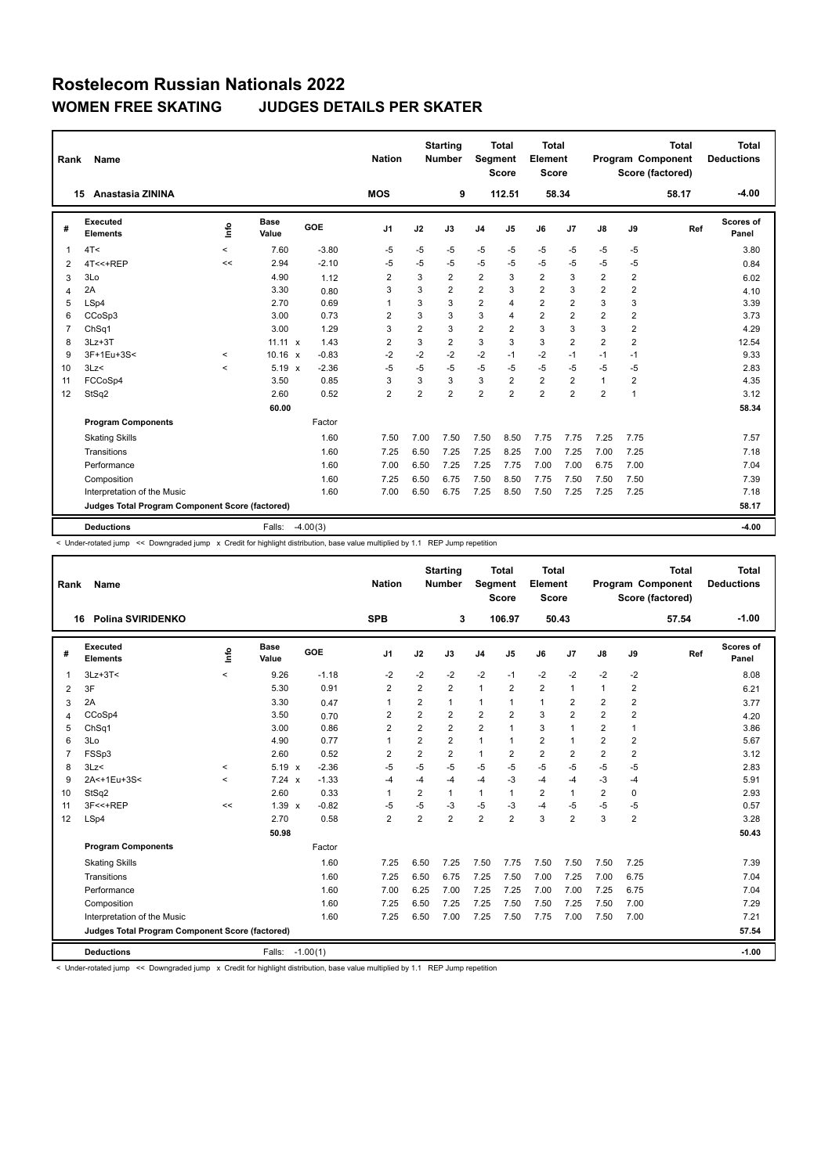| Rank           | Name                                            |            |                      |            | <b>Nation</b>  |                | <b>Starting</b><br><b>Number</b> | Segment        | <b>Total</b><br><b>Score</b> | Total<br>Element<br><b>Score</b> |                |                |                         | <b>Total</b><br>Program Component<br>Score (factored) | Total<br><b>Deductions</b> |
|----------------|-------------------------------------------------|------------|----------------------|------------|----------------|----------------|----------------------------------|----------------|------------------------------|----------------------------------|----------------|----------------|-------------------------|-------------------------------------------------------|----------------------------|
|                | Anastasia ZININA<br>15                          |            |                      |            | <b>MOS</b>     |                | 9                                |                | 112.51                       | 58.34                            |                |                |                         | 58.17                                                 | $-4.00$                    |
| #              | Executed<br><b>Elements</b>                     | <b>Lin</b> | <b>Base</b><br>Value | GOE        | J1             | J2             | J3                               | J <sub>4</sub> | J5                           | J6                               | J7             | $\mathsf{J}8$  | J9                      | Ref                                                   | Scores of<br>Panel         |
| 1              | 4T <                                            | $\prec$    | 7.60                 | $-3.80$    | $-5$           | $-5$           | $-5$                             | $-5$           | $-5$                         | $-5$                             | $-5$           | $-5$           | $-5$                    |                                                       | 3.80                       |
| 2              | 4T<<+REP                                        | <<         | 2.94                 | $-2.10$    | -5             | -5             | $-5$                             | -5             | $-5$                         | $-5$                             | $-5$           | $-5$           | -5                      |                                                       | 0.84                       |
| 3              | 3Lo                                             |            | 4.90                 | 1.12       | $\overline{2}$ | 3              | $\overline{2}$                   | $\overline{2}$ | 3                            | $\overline{2}$                   | 3              | 2              | 2                       |                                                       | 6.02                       |
| 4              | 2A                                              |            | 3.30                 | 0.80       | 3              | 3              | $\overline{2}$                   | $\overline{2}$ | 3                            | $\overline{2}$                   | 3              | $\overline{2}$ | $\overline{\mathbf{c}}$ |                                                       | 4.10                       |
| 5              | LSp4                                            |            | 2.70                 | 0.69       | 1              | 3              | 3                                | $\overline{2}$ | 4                            | $\overline{2}$                   | $\overline{2}$ | 3              | 3                       |                                                       | 3.39                       |
| 6              | CCoSp3                                          |            | 3.00                 | 0.73       | $\overline{2}$ | 3              | 3                                | 3              | 4                            | $\overline{2}$                   | $\overline{2}$ | $\overline{2}$ | $\overline{\mathbf{c}}$ |                                                       | 3.73                       |
| $\overline{7}$ | ChSq1                                           |            | 3.00                 | 1.29       | 3              | $\overline{2}$ | 3                                | $\overline{2}$ | $\overline{2}$               | 3                                | 3              | 3              | $\overline{2}$          |                                                       | 4.29                       |
| 8              | $3Lz + 3T$                                      |            | $11.11 \times$       | 1.43       | 2              | 3              | $\overline{2}$                   | 3              | 3                            | 3                                | $\overline{2}$ | 2              | 2                       |                                                       | 12.54                      |
| 9              | 3F+1Eu+3S<                                      | $\prec$    | $10.16 \times$       | $-0.83$    | $-2$           | $-2$           | $-2$                             | $-2$           | $-1$                         | $-2$                             | $-1$           | $-1$           | $-1$                    |                                                       | 9.33                       |
| 10             | 3Lz<                                            | $\prec$    | $5.19 \times$        | $-2.36$    | -5             | $-5$           | $-5$                             | $-5$           | $-5$                         | $-5$                             | $-5$           | $-5$           | $-5$                    |                                                       | 2.83                       |
| 11             | FCCoSp4                                         |            | 3.50                 | 0.85       | 3              | 3              | 3                                | 3              | $\overline{2}$               | $\overline{2}$                   | $\overline{2}$ | 1              | 2                       |                                                       | 4.35                       |
| 12             | StSq2                                           |            | 2.60                 | 0.52       | $\overline{2}$ | $\overline{2}$ | $\overline{2}$                   | $\overline{2}$ | $\overline{2}$               | $\overline{2}$                   | $\overline{2}$ | $\overline{2}$ | 1                       |                                                       | 3.12                       |
|                |                                                 |            | 60.00                |            |                |                |                                  |                |                              |                                  |                |                |                         |                                                       | 58.34                      |
|                | <b>Program Components</b>                       |            |                      | Factor     |                |                |                                  |                |                              |                                  |                |                |                         |                                                       |                            |
|                | <b>Skating Skills</b>                           |            |                      | 1.60       | 7.50           | 7.00           | 7.50                             | 7.50           | 8.50                         | 7.75                             | 7.75           | 7.25           | 7.75                    |                                                       | 7.57                       |
|                | Transitions                                     |            |                      | 1.60       | 7.25           | 6.50           | 7.25                             | 7.25           | 8.25                         | 7.00                             | 7.25           | 7.00           | 7.25                    |                                                       | 7.18                       |
|                | Performance                                     |            |                      | 1.60       | 7.00           | 6.50           | 7.25                             | 7.25           | 7.75                         | 7.00                             | 7.00           | 6.75           | 7.00                    |                                                       | 7.04                       |
|                | Composition                                     |            |                      | 1.60       | 7.25           | 6.50           | 6.75                             | 7.50           | 8.50                         | 7.75                             | 7.50           | 7.50           | 7.50                    |                                                       | 7.39                       |
|                | Interpretation of the Music                     |            |                      | 1.60       | 7.00           | 6.50           | 6.75                             | 7.25           | 8.50                         | 7.50                             | 7.25           | 7.25           | 7.25                    |                                                       | 7.18                       |
|                | Judges Total Program Component Score (factored) |            |                      |            |                |                |                                  |                |                              |                                  |                |                |                         |                                                       | 58.17                      |
|                | <b>Deductions</b>                               |            | Falls:               | $-4.00(3)$ |                |                |                                  |                |                              |                                  |                |                |                         |                                                       | $-4.00$                    |

< Under-rotated jump << Downgraded jump x Credit for highlight distribution, base value multiplied by 1.1 REP Jump repetition

| Rank           | <b>Name</b>                                     |         |                      |            | <b>Nation</b>  |                | <b>Starting</b><br><b>Number</b> | Segment        | <b>Total</b><br><b>Score</b> | <b>Total</b><br>Element<br><b>Score</b> |                |                |                | <b>Total</b><br>Program Component<br>Score (factored) | <b>Total</b><br><b>Deductions</b> |
|----------------|-------------------------------------------------|---------|----------------------|------------|----------------|----------------|----------------------------------|----------------|------------------------------|-----------------------------------------|----------------|----------------|----------------|-------------------------------------------------------|-----------------------------------|
|                | <b>Polina SVIRIDENKO</b><br>16                  |         |                      |            | <b>SPB</b>     |                | 3                                |                | 106.97                       |                                         | 50.43          |                |                | 57.54                                                 | $-1.00$                           |
| #              | Executed<br><b>Elements</b>                     | ١m      | <b>Base</b><br>Value | GOE        | J <sub>1</sub> | J2             | J3                               | J <sub>4</sub> | J <sub>5</sub>               | J6                                      | J <sub>7</sub> | J8             | J9             | Ref                                                   | <b>Scores of</b><br>Panel         |
| 1              | $3Lz + 3T <$                                    | $\prec$ | 9.26                 | $-1.18$    | $-2$           | $-2$           | $-2$                             | $-2$           | $-1$                         | $-2$                                    | $-2$           | $-2$           | $-2$           |                                                       | 8.08                              |
| 2              | 3F                                              |         | 5.30                 | 0.91       | $\overline{2}$ | $\overline{2}$ | $\overline{2}$                   | $\mathbf{1}$   | $\overline{2}$               | $\overline{2}$                          | $\overline{1}$ | 1              | $\overline{2}$ |                                                       | 6.21                              |
| 3              | 2A                                              |         | 3.30                 | 0.47       | $\mathbf{1}$   | 2              | 1                                | 1              | 1                            | 1                                       | 2              | 2              | $\overline{2}$ |                                                       | 3.77                              |
| $\overline{4}$ | CCoSp4                                          |         | 3.50                 | 0.70       | $\overline{2}$ | $\overline{2}$ | $\overline{2}$                   | $\overline{2}$ | $\overline{2}$               | 3                                       | $\overline{2}$ | $\overline{2}$ | $\overline{2}$ |                                                       | 4.20                              |
| 5              | ChSq1                                           |         | 3.00                 | 0.86       | $\overline{2}$ | $\overline{2}$ | $\overline{2}$                   | $\overline{2}$ | 1                            | 3                                       | $\overline{1}$ | $\overline{2}$ | $\mathbf{1}$   |                                                       | 3.86                              |
| 6              | 3Lo                                             |         | 4.90                 | 0.77       | $\overline{1}$ | $\overline{2}$ | $\overline{2}$                   | $\mathbf{1}$   | 1                            | $\overline{2}$                          | 1              | 2              | 2              |                                                       | 5.67                              |
| $\overline{7}$ | FSSp3                                           |         | 2.60                 | 0.52       | $\overline{2}$ | $\overline{2}$ | $\overline{2}$                   | $\mathbf{1}$   | 2                            | $\overline{2}$                          | $\overline{2}$ | $\overline{2}$ | $\overline{2}$ |                                                       | 3.12                              |
| 8              | 3Lz                                             | $\prec$ | $5.19 \times$        | $-2.36$    | $-5$           | $-5$           | $-5$                             | $-5$           | -5                           | $-5$                                    | $-5$           | $-5$           | $-5$           |                                                       | 2.83                              |
| 9              | 2A<+1Eu+3S<                                     | $\prec$ | 7.24 x               | $-1.33$    | $-4$           | -4             | $-4$                             | $-4$           | -3                           | $-4$                                    | $-4$           | -3             | $-4$           |                                                       | 5.91                              |
| 10             | StSq2                                           |         | 2.60                 | 0.33       | $\mathbf{1}$   | 2              | 1                                | $\mathbf{1}$   | 1                            | 2                                       | $\mathbf{1}$   | 2              | 0              |                                                       | 2.93                              |
| 11             | 3F<<+REP                                        | <<      | $1.39 \times$        | $-0.82$    | -5             | $-5$           | -3                               | $-5$           | -3                           | $-4$                                    | -5             | $-5$           | $-5$           |                                                       | 0.57                              |
| 12             | LSp4                                            |         | 2.70                 | 0.58       | $\overline{2}$ | $\overline{2}$ | $\overline{2}$                   | $\overline{2}$ | $\overline{2}$               | 3                                       | $\overline{2}$ | 3              | $\overline{2}$ |                                                       | 3.28                              |
|                |                                                 |         | 50.98                |            |                |                |                                  |                |                              |                                         |                |                |                |                                                       | 50.43                             |
|                | <b>Program Components</b>                       |         |                      | Factor     |                |                |                                  |                |                              |                                         |                |                |                |                                                       |                                   |
|                | <b>Skating Skills</b>                           |         |                      | 1.60       | 7.25           | 6.50           | 7.25                             | 7.50           | 7.75                         | 7.50                                    | 7.50           | 7.50           | 7.25           |                                                       | 7.39                              |
|                | Transitions                                     |         |                      | 1.60       | 7.25           | 6.50           | 6.75                             | 7.25           | 7.50                         | 7.00                                    | 7.25           | 7.00           | 6.75           |                                                       | 7.04                              |
|                | Performance                                     |         |                      | 1.60       | 7.00           | 6.25           | 7.00                             | 7.25           | 7.25                         | 7.00                                    | 7.00           | 7.25           | 6.75           |                                                       | 7.04                              |
|                | Composition                                     |         |                      | 1.60       | 7.25           | 6.50           | 7.25                             | 7.25           | 7.50                         | 7.50                                    | 7.25           | 7.50           | 7.00           |                                                       | 7.29                              |
|                | Interpretation of the Music                     |         |                      | 1.60       | 7.25           | 6.50           | 7.00                             | 7.25           | 7.50                         | 7.75                                    | 7.00           | 7.50           | 7.00           |                                                       | 7.21                              |
|                | Judges Total Program Component Score (factored) |         |                      |            |                |                |                                  |                |                              |                                         |                |                |                |                                                       | 57.54                             |
|                | <b>Deductions</b>                               |         | Falls:               | $-1.00(1)$ |                |                |                                  |                |                              |                                         |                |                |                |                                                       | $-1.00$                           |

< Under-rotated jump << Downgraded jump x Credit for highlight distribution, base value multiplied by 1.1 REP Jump repetition